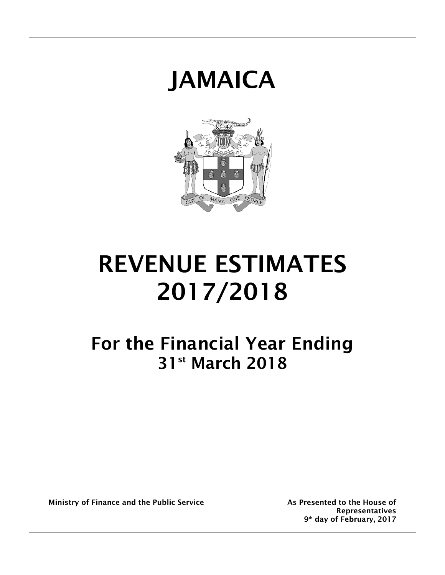



# REVENUE ESTIMATES 2017/2018

## For the Financial Year Ending 31st March 2018

Ministry of Finance and the Public Service The As Presented to the House of

Representatives 9<sup>th</sup> day of February, 2017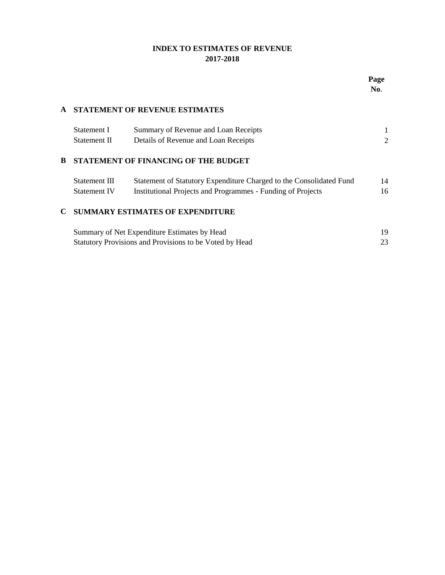## **INDEX TO ESTIMATES OF REVENUE 2017-2018**

| Pag<br>ť |  |
|----------|--|
| NO.      |  |

#### **A STATEMENT OF REVENUE ESTIMATES**

| Statement I  | Summary of Revenue and Loan Receipts |  |
|--------------|--------------------------------------|--|
| Statement II | Details of Revenue and Loan Receipts |  |

#### **B STATEMENT OF FINANCING OF THE BUDGET**

| Statement III | Statement of Statutory Expenditure Charged to the Consolidated Fund | 14 |
|---------------|---------------------------------------------------------------------|----|
| Statement IV  | Institutional Projects and Programmes - Funding of Projects         | 16 |

#### **C SUMMARY ESTIMATES OF EXPENDITURE**

| Summary of Net Expenditure Estimates by Head            |  |
|---------------------------------------------------------|--|
| Statutory Provisions and Provisions to be Voted by Head |  |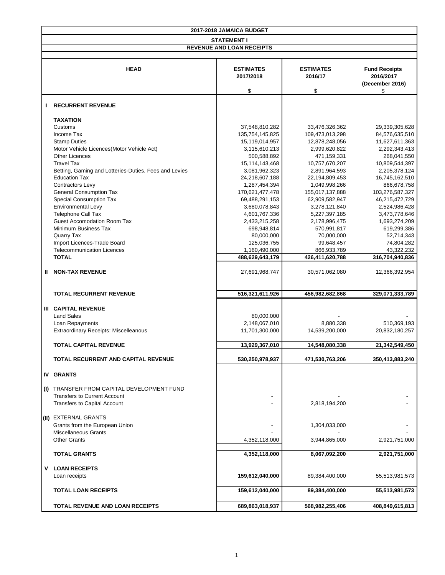|                                                                                                                  | 2017-2018 JAMAICA BUDGET |                 |                       |  |  |  |  |  |
|------------------------------------------------------------------------------------------------------------------|--------------------------|-----------------|-----------------------|--|--|--|--|--|
|                                                                                                                  | <b>STATEMENT I</b>       |                 |                       |  |  |  |  |  |
| <b>REVENUE AND LOAN RECEIPTS</b>                                                                                 |                          |                 |                       |  |  |  |  |  |
| <b>HEAD</b><br><b>ESTIMATES</b><br><b>ESTIMATES</b><br><b>Fund Receipts</b><br>2017/2018<br>2016/17<br>2016/2017 |                          |                 |                       |  |  |  |  |  |
|                                                                                                                  | \$                       | \$              | (December 2016)<br>\$ |  |  |  |  |  |
|                                                                                                                  |                          |                 |                       |  |  |  |  |  |
| <b>RECURRENT REVENUE</b>                                                                                         |                          |                 |                       |  |  |  |  |  |
| <b>TAXATION</b>                                                                                                  |                          |                 |                       |  |  |  |  |  |
| Customs                                                                                                          | 37,548,810,282           | 33,476,326,362  | 29,339,305,628        |  |  |  |  |  |
| Income Tax                                                                                                       | 135,754,145,825          | 109,473,013,298 | 84,576,635,510        |  |  |  |  |  |
| <b>Stamp Duties</b>                                                                                              | 15,119,014,957           | 12,878,248,056  | 11,627,611,363        |  |  |  |  |  |
| Motor Vehicle Licences(Motor Vehicle Act)<br><b>Other Licences</b>                                               | 3,115,610,213            | 2,999,620,822   | 2,292,343,413         |  |  |  |  |  |
|                                                                                                                  | 500,588,892              | 471,159,331     | 268,041,550           |  |  |  |  |  |
| <b>Travel Tax</b>                                                                                                | 15,114,143,468           | 10,757,670,207  | 10,809,544,397        |  |  |  |  |  |
| Betting, Gaming and Lotteries-Duties, Fees and Levies                                                            | 3,081,962,323            | 2,891,964,593   | 2,205,378,124         |  |  |  |  |  |
| <b>Education Tax</b>                                                                                             | 24,218,607,188           | 22,194,809,453  | 16,745,162,510        |  |  |  |  |  |
| <b>Contractors Levy</b>                                                                                          | 1,287,454,394            | 1,049,998,266   | 866,678,758           |  |  |  |  |  |
| <b>General Consumption Tax</b>                                                                                   | 170,621,477,478          | 155,017,137,888 | 103,276,587,327       |  |  |  |  |  |
| <b>Special Consumption Tax</b>                                                                                   | 69,488,291,153           | 62,909,582,947  | 46,215,472,729        |  |  |  |  |  |
| <b>Environmental Levy</b>                                                                                        | 3,680,078,843            | 3,278,121,840   | 2,524,986,428         |  |  |  |  |  |
| <b>Telephone Call Tax</b>                                                                                        | 4,601,767,336            | 5,227,397,185   | 3,473,778,646         |  |  |  |  |  |
| <b>Guest Accomodation Room Tax</b>                                                                               | 2,433,215,258            | 2,178,996,475   | 1,693,274,209         |  |  |  |  |  |
| Minimum Business Tax                                                                                             | 698,948,814              | 570,991,817     | 619,299,386           |  |  |  |  |  |
| <b>Quarry Tax</b>                                                                                                | 80,000,000               | 70,000,000      | 52,714,343            |  |  |  |  |  |
| Import Licences-Trade Board                                                                                      | 125,036,755              | 99,648,457      | 74,804,282            |  |  |  |  |  |
| <b>Telecommunication Licences</b>                                                                                | 1,160,490,000            | 866,933,789     | 43,322,232            |  |  |  |  |  |
| <b>TOTAL</b>                                                                                                     | 488,629,643,179          | 426,411,620,788 | 316,704,940,836       |  |  |  |  |  |
| <b>NON-TAX REVENUE</b><br>Ш.                                                                                     | 27,691,968,747           | 30,571,062,080  | 12,366,392,954        |  |  |  |  |  |
| <b>TOTAL RECURRENT REVENUE</b>                                                                                   | 516,321,611,926          | 456,982,682,868 | 329,071,333,789       |  |  |  |  |  |
| <b>III CAPITAL REVENUE</b>                                                                                       |                          |                 |                       |  |  |  |  |  |
| <b>Land Sales</b>                                                                                                | 80,000,000               |                 |                       |  |  |  |  |  |
| Loan Repayments                                                                                                  | 2,148,067,010            | 8,880,338       | 510,369,193           |  |  |  |  |  |
| <b>Extraordinary Receipts: Miscelleanous</b>                                                                     | 11,701,300,000           | 14,539,200,000  | 20,832,180,257        |  |  |  |  |  |
| <b>TOTAL CAPITAL REVENUE</b>                                                                                     | 13,929,367,010           | 14,548,080,338  | 21,342,549,450        |  |  |  |  |  |
|                                                                                                                  |                          |                 |                       |  |  |  |  |  |
| <b>TOTAL RECURRENT AND CAPITAL REVENUE</b>                                                                       | 530,250,978,937          | 471,530,763,206 | 350,413,883,240       |  |  |  |  |  |
| <b>IV GRANTS</b>                                                                                                 |                          |                 |                       |  |  |  |  |  |
| TRANSFER FROM CAPITAL DEVELOPMENT FUND<br>(1)                                                                    |                          |                 |                       |  |  |  |  |  |
| <b>Transfers to Current Account</b>                                                                              |                          |                 |                       |  |  |  |  |  |
| <b>Transfers to Capital Account</b>                                                                              |                          | 2,818,194,200   |                       |  |  |  |  |  |
| (II) EXTERNAL GRANTS                                                                                             |                          |                 |                       |  |  |  |  |  |
| Grants from the European Union                                                                                   |                          | 1,304,033,000   |                       |  |  |  |  |  |
| <b>Miscellaneous Grants</b>                                                                                      |                          |                 |                       |  |  |  |  |  |
| <b>Other Grants</b>                                                                                              | 4,352,118,000            | 3,944,865,000   | 2,921,751,000         |  |  |  |  |  |
| <b>TOTAL GRANTS</b>                                                                                              | 4,352,118,000            | 8,067,092,200   | 2,921,751,000         |  |  |  |  |  |
|                                                                                                                  |                          |                 |                       |  |  |  |  |  |
| <b>LOAN RECEIPTS</b><br>V<br>Loan receipts                                                                       | 159,612,040,000          | 89,384,400,000  | 55,513,981,573        |  |  |  |  |  |
|                                                                                                                  |                          |                 |                       |  |  |  |  |  |
| <b>TOTAL LOAN RECEIPTS</b>                                                                                       | 159,612,040,000          | 89,384,400,000  | 55,513,981,573        |  |  |  |  |  |
| <b>TOTAL REVENUE AND LOAN RECEIPTS</b>                                                                           | 689,863,018,937          | 568,982,255,406 | 408,849,615,813       |  |  |  |  |  |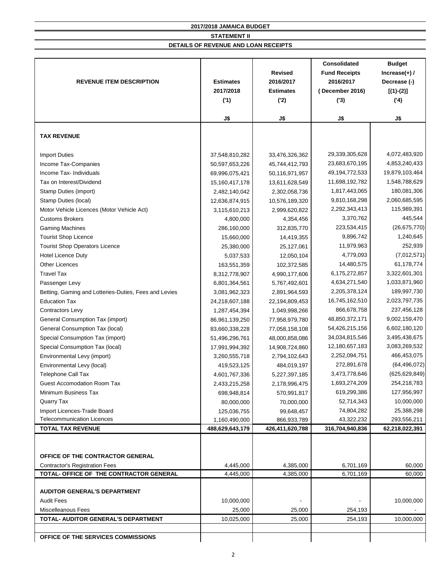| <b>REVENUE ITEM DESCRIPTION</b>                       | <b>Estimates</b><br>2017/2018<br>('1) | <b>Revised</b><br>2016/2017<br><b>Estimates</b><br>(2) | <b>Consolidated</b><br><b>Fund Receipts</b><br>2016/2017<br>(December 2016)<br>(3) | <b>Budget</b><br>Increase $(+)$ /<br>Decrease (-)<br>$[(1)-(2)]$<br>(4) |
|-------------------------------------------------------|---------------------------------------|--------------------------------------------------------|------------------------------------------------------------------------------------|-------------------------------------------------------------------------|
|                                                       | J\$                                   | J\$                                                    | J\$                                                                                | J\$                                                                     |
| <b>TAX REVENUE</b>                                    |                                       |                                                        |                                                                                    |                                                                         |
| <b>Import Duties</b>                                  | 37,548,810,282                        | 33,476,326,362                                         | 29,339,305,628                                                                     | 4,072,483,920                                                           |
| Income Tax-Companies                                  | 50,597,653,226                        | 45,744,412,793                                         | 23,683,670,195                                                                     | 4,853,240,433                                                           |
| Income Tax- Individuals                               | 69,996,075,421                        | 50,116,971,957                                         | 49,194,772,533                                                                     | 19,879,103,464                                                          |
| Tax on Interest/Dividend                              | 15,160,417,178                        | 13,611,628,549                                         | 11,698,192,782                                                                     | 1,548,788,629                                                           |
| <b>Stamp Duties (import)</b>                          | 2,482,140,042                         | 2,302,058,736                                          | 1,817,443,065                                                                      | 180,081,306                                                             |
| Stamp Duties (local)                                  | 12,636,874,915                        | 10,576,189,320                                         | 9,810,168,298                                                                      | 2,060,685,595                                                           |
| Motor Vehicle Licences (Motor Vehicle Act)            | 3,115,610,213                         | 2,999,620,822                                          | 2,292,343,413                                                                      | 115,989,391                                                             |
| <b>Customs Brokers</b>                                | 4,800,000                             | 4,354,456                                              | 3,370,762                                                                          | 445,544                                                                 |
| <b>Gaming Machines</b>                                | 286,160,000                           | 312,835,770                                            | 223,534,415                                                                        | (26, 675, 770)                                                          |
| <b>Tourist Shop Licence</b>                           | 15,660,000                            | 14,419,355                                             | 9,896,742                                                                          | 1,240,645                                                               |
| <b>Tourist Shop Operators Licence</b>                 | 25,380,000                            | 25,127,061                                             | 11,979,963                                                                         | 252,939                                                                 |
| <b>Hotel Licence Duty</b>                             | 5,037,533                             | 12,050,104                                             | 4,779,093                                                                          | (7,012,571)                                                             |
| <b>Other Licences</b>                                 | 163,551,359                           | 102,372,585                                            | 14,480,575                                                                         | 61,178,774                                                              |
| <b>Travel Tax</b>                                     | 8,312,778,907                         | 4,990,177,606                                          | 6,175,272,857                                                                      | 3,322,601,301                                                           |
| Passenger Levy                                        | 6,801,364,561                         | 5,767,492,601                                          | 4,634,271,540                                                                      | 1,033,871,960                                                           |
| Betting, Gaming and Lotteries-Duties, Fees and Levies | 3,081,962,323                         | 2,891,964,593                                          | 2,205,378,124                                                                      | 189,997,730                                                             |
| <b>Education Tax</b>                                  | 24,218,607,188                        | 22,194,809,453                                         | 16,745,162,510                                                                     | 2,023,797,735                                                           |
| <b>Contractors Levy</b>                               | 1,287,454,394                         | 1,049,998,266                                          | 866,678,758                                                                        | 237,456,128                                                             |
| <b>General Consumption Tax (import)</b>               | 86,961,139,250                        | 77,958,979,780                                         | 48,850,372,171                                                                     | 9,002,159,470                                                           |
| <b>General Consumption Tax (local)</b>                | 83,660,338,228                        | 77,058,158,108                                         | 54,426,215,156                                                                     | 6,602,180,120                                                           |
| Special Consumption Tax (import)                      | 51,496,296,761                        | 48,000,858,086                                         | 34,034,815,546                                                                     | 3,495,438,675                                                           |
| Special Consumption Tax (local)                       | 17,991,994,392                        | 14,908,724,860                                         | 12,180,657,183                                                                     | 3,083,269,532                                                           |
| Environmental Levy (import)                           | 3,260,555,718                         | 2,794,102,643                                          | 2,252,094,751                                                                      | 466,453,075                                                             |
| Environmental Levy (local)                            | 419,523,125                           | 484,019,197                                            | 272,891,678                                                                        | (64, 496, 072)                                                          |
| Telephone Call Tax                                    | 4,601,767,336                         | 5,227,397,185                                          | 3,473,778,646                                                                      | (625, 629, 849)                                                         |
| <b>Guest Accomodation Room Tax</b>                    | 2,433,215,258                         | 2,178,996,475                                          | 1,693,274,209                                                                      | 254,218,783                                                             |
| Minimum Business Tax                                  | 698,948,814                           | 570,991,817                                            | 619,299,386                                                                        | 127,956,997                                                             |
| <b>Quarry Tax</b>                                     | 80,000,000                            | 70,000,000                                             | 52,714,343                                                                         | 10,000,000                                                              |
| Import Licences-Trade Board                           | 125,036,755                           | 99,648,457                                             | 74,804,282                                                                         | 25,388,298                                                              |
| <b>Telecommunication Licences</b>                     | 1,160,490,000                         | 866,933,789                                            | 43,322,232                                                                         | 293,556,211                                                             |
| <b>TOTAL TAX REVENUE</b>                              | 488,629,643,179                       | 426,411,620,788                                        | 316,704,940,836                                                                    | 62,218,022,391                                                          |
|                                                       |                                       |                                                        |                                                                                    |                                                                         |
| OFFICE OF THE CONTRACTOR GENERAL                      |                                       |                                                        |                                                                                    |                                                                         |
| <b>Contractor's Registration Fees</b>                 | 4,445,000                             | 4,385,000                                              | 6,701,169                                                                          | 60,000                                                                  |
| TOTAL- OFFICE OF THE CONTRACTOR GENERAL               | 4,445,000                             | 4,385,000                                              | 6,701,169                                                                          | 60,000                                                                  |
| <b>AUDITOR GENERAL'S DEPARTMENT</b>                   |                                       |                                                        |                                                                                    |                                                                         |
| <b>Audit Fees</b>                                     | 10,000,000                            |                                                        |                                                                                    | 10,000,000                                                              |
| <b>Miscelleanous Fees</b>                             | 25,000                                | 25,000                                                 | 254,193                                                                            |                                                                         |
| TOTAL- AUDITOR GENERAL'S DEPARTMENT                   | 10,025,000                            | 25,000                                                 | 254,193                                                                            | 10,000,000                                                              |
| OFFICE OF THE SERVICES COMMISSIONS                    |                                       |                                                        |                                                                                    |                                                                         |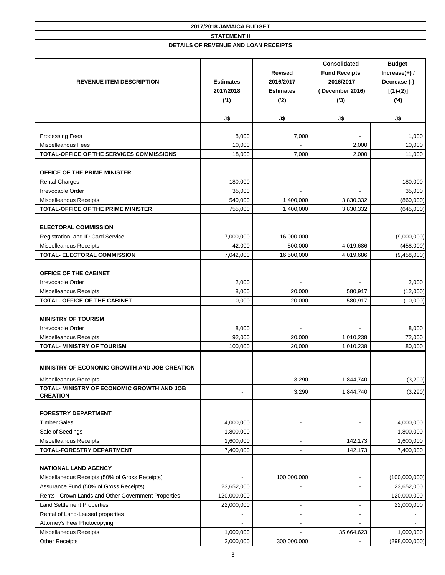| <b>REVENUE ITEM DESCRIPTION</b>                                       | <b>Estimates</b><br>2017/2018<br>('1) | <b>Revised</b><br>2016/2017<br><b>Estimates</b><br>('2) | <b>Consolidated</b><br><b>Fund Receipts</b><br>2016/2017<br>(December 2016)<br>(3) | <b>Budget</b><br>Increase $(+)$ /<br>Decrease (-)<br>$[(1)-(2)]$<br>(4) |
|-----------------------------------------------------------------------|---------------------------------------|---------------------------------------------------------|------------------------------------------------------------------------------------|-------------------------------------------------------------------------|
|                                                                       | J\$                                   | J\$                                                     | J\$                                                                                | J\$                                                                     |
|                                                                       |                                       |                                                         |                                                                                    |                                                                         |
| <b>Processing Fees</b>                                                | 8,000                                 | 7,000                                                   |                                                                                    | 1,000                                                                   |
| <b>Miscelleanous Fees</b><br>TOTAL-OFFICE OF THE SERVICES COMMISSIONS | 10,000<br>18,000                      | 7,000                                                   | 2,000<br>2,000                                                                     | 10,000<br>11,000                                                        |
|                                                                       |                                       |                                                         |                                                                                    |                                                                         |
| OFFICE OF THE PRIME MINISTER                                          |                                       |                                                         |                                                                                    |                                                                         |
| <b>Rental Charges</b>                                                 | 180,000                               |                                                         |                                                                                    | 180,000                                                                 |
| Irrevocable Order                                                     | 35,000                                |                                                         |                                                                                    | 35,000                                                                  |
| <b>Miscelleanous Receipts</b>                                         | 540,000                               | 1,400,000                                               | 3,830,332                                                                          | (860,000)                                                               |
| TOTAL-OFFICE OF THE PRIME MINISTER                                    | 755,000                               | 1,400,000                                               | 3,830,332                                                                          | (645,000)                                                               |
|                                                                       |                                       |                                                         |                                                                                    |                                                                         |
| <b>ELECTORAL COMMISSION</b>                                           |                                       |                                                         |                                                                                    |                                                                         |
| Registration and ID Card Service                                      | 7,000,000                             | 16,000,000                                              |                                                                                    | (9,000,000)                                                             |
| <b>Miscelleanous Receipts</b>                                         | 42,000                                | 500,000                                                 | 4,019,686                                                                          | (458,000)                                                               |
| TOTAL- ELECTORAL COMMISSION                                           | 7,042,000                             | 16,500,000                                              | 4,019,686                                                                          | (9,458,000)                                                             |
| OFFICE OF THE CABINET<br>Irrevocable Order                            | 2,000                                 |                                                         |                                                                                    | 2,000                                                                   |
| Miscelleanous Receipts                                                | 8,000                                 | 20,000                                                  | 580,917                                                                            | (12,000)                                                                |
| <b>TOTAL- OFFICE OF THE CABINET</b>                                   | 10,000                                | 20,000                                                  | 580,917                                                                            | (10,000)                                                                |
| <b>MINISTRY OF TOURISM</b>                                            |                                       |                                                         |                                                                                    |                                                                         |
| Irrevocable Order                                                     | 8,000                                 |                                                         |                                                                                    | 8,000                                                                   |
| <b>Miscelleanous Receipts</b>                                         | 92,000                                | 20,000                                                  | 1,010,238                                                                          | 72,000                                                                  |
| <b>TOTAL- MINISTRY OF TOURISM</b>                                     | 100,000                               | 20,000                                                  | 1,010,238                                                                          | 80,000                                                                  |
| MINISTRY OF ECONOMIC GROWTH AND JOB CREATION                          |                                       |                                                         |                                                                                    |                                                                         |
| <b>Miscelleanous Receipts</b>                                         |                                       | 3,290                                                   | 1,844,740                                                                          | (3,290)                                                                 |
| TOTAL- MINISTRY OF ECONOMIC GROWTH AND JOB<br><b>CREATION</b>         |                                       | 3,290                                                   | 1,844,740                                                                          | (3,290)                                                                 |
|                                                                       |                                       |                                                         |                                                                                    |                                                                         |
| <b>FORESTRY DEPARTMENT</b>                                            |                                       |                                                         |                                                                                    |                                                                         |
| <b>Timber Sales</b>                                                   | 4,000,000                             |                                                         |                                                                                    | 4,000,000                                                               |
| Sale of Seedings                                                      | 1,800,000                             |                                                         |                                                                                    | 1,800,000                                                               |
| Miscelleanous Receipts                                                | 1,600,000                             |                                                         | 142,173                                                                            | 1,600,000                                                               |
| TOTAL-FORESTRY DEPARTMENT                                             | 7,400,000                             | Ξ.                                                      | 142,173                                                                            | 7,400,000                                                               |
|                                                                       |                                       |                                                         |                                                                                    |                                                                         |
| <b>NATIONAL LAND AGENCY</b>                                           |                                       |                                                         |                                                                                    |                                                                         |
| Miscellaneous Receipts (50% of Gross Receipts)                        |                                       | 100,000,000                                             |                                                                                    | (100,000,000)                                                           |
| Assurance Fund (50% of Gross Receipts)                                | 23,652,000                            |                                                         |                                                                                    | 23,652,000                                                              |
| Rents - Crown Lands and Other Government Properties                   | 120,000,000                           |                                                         |                                                                                    | 120,000,000                                                             |
| <b>Land Settlement Properties</b>                                     | 22,000,000                            |                                                         |                                                                                    | 22,000,000                                                              |
| Rental of Land-Leased properties                                      |                                       |                                                         |                                                                                    |                                                                         |
| Attorney's Fee/ Photocopying                                          |                                       |                                                         |                                                                                    |                                                                         |
| Miscellaneous Receipts                                                | 1,000,000                             |                                                         | 35,664,623                                                                         | 1,000,000                                                               |
| <b>Other Receipts</b>                                                 | 2,000,000                             | 300,000,000                                             |                                                                                    | (298,000,000)                                                           |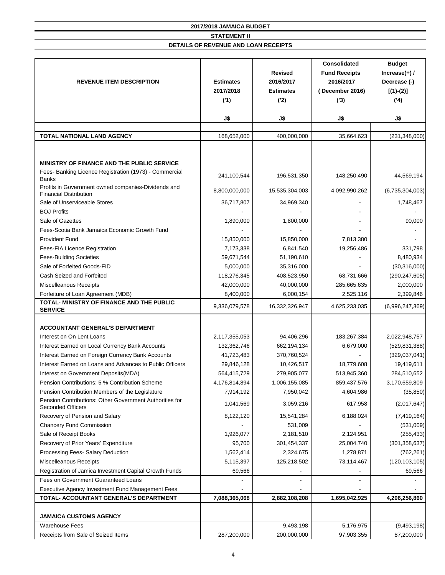| <b>REVENUE ITEM DESCRIPTION</b>                                                                                                                                                                              | <b>Estimates</b><br>2017/2018<br>('1) | <b>Revised</b><br>2016/2017<br><b>Estimates</b><br>('2) | <b>Consolidated</b><br><b>Fund Receipts</b><br>2016/2017<br>December 2016)<br>(3) | <b>Budget</b><br>Increase $(+)$ /<br>Decrease (-)<br>$[(1)-(2)]$<br>(4) |
|--------------------------------------------------------------------------------------------------------------------------------------------------------------------------------------------------------------|---------------------------------------|---------------------------------------------------------|-----------------------------------------------------------------------------------|-------------------------------------------------------------------------|
|                                                                                                                                                                                                              | J\$                                   | J\$                                                     | J\$                                                                               | J\$                                                                     |
|                                                                                                                                                                                                              |                                       |                                                         |                                                                                   |                                                                         |
| <b>TOTAL NATIONAL LAND AGENCY</b>                                                                                                                                                                            | 168,652,000                           | 400,000,000                                             | 35,664,623                                                                        | (231, 348, 000)                                                         |
|                                                                                                                                                                                                              |                                       |                                                         |                                                                                   |                                                                         |
| MINISTRY OF FINANCE AND THE PUBLIC SERVICE<br>Fees- Banking Licence Registration (1973) - Commercial<br><b>Banks</b><br>Profits in Government owned companies-Dividends and<br><b>Financial Distribution</b> | 241,100,544<br>8,800,000,000          | 196,531,350<br>15,535,304,003                           | 148,250,490<br>4,092,990,262                                                      | 44,569,194<br>(6,735,304,003)                                           |
| Sale of Unserviceable Stores                                                                                                                                                                                 | 36,717,807                            | 34,969,340                                              |                                                                                   | 1,748,467                                                               |
| <b>BOJ Profits</b>                                                                                                                                                                                           |                                       |                                                         |                                                                                   |                                                                         |
| Sale of Gazettes                                                                                                                                                                                             | 1,890,000                             | 1,800,000                                               |                                                                                   | 90,000                                                                  |
| Fees-Scotia Bank Jamaica Economic Growth Fund                                                                                                                                                                |                                       |                                                         |                                                                                   |                                                                         |
| <b>Provident Fund</b>                                                                                                                                                                                        | 15,850,000                            | 15,850,000                                              | 7,813,380                                                                         |                                                                         |
| Fees-FIA Licence Registration                                                                                                                                                                                | 7,173,338                             | 6,841,540                                               | 19,256,486                                                                        | 331,798                                                                 |
| <b>Fees-Building Societies</b>                                                                                                                                                                               | 59,671,544                            | 51,190,610                                              |                                                                                   | 8,480,934                                                               |
| Sale of Forfeited Goods-FID                                                                                                                                                                                  | 5,000,000                             | 35,316,000                                              |                                                                                   | (30,316,000)                                                            |
| Cash Seized and Forfeited                                                                                                                                                                                    | 118,276,345                           | 408,523,950                                             | 68,731,666                                                                        | (290, 247, 605)                                                         |
| Miscelleanous Receipts                                                                                                                                                                                       | 42,000,000                            | 40,000,000                                              | 285,665,635                                                                       | 2,000,000                                                               |
| Forfeiture of Loan Agreement (MDB)                                                                                                                                                                           | 8,400,000                             | 6,000,154                                               | 2,525,116                                                                         | 2,399,846                                                               |
| TOTAL- MINISTRY OF FINANCE AND THE PUBLIC                                                                                                                                                                    | 9,336,079,578                         | 16,332,326,947                                          | 4,625,233,035                                                                     | (6,996,247,369)                                                         |
| <b>SERVICE</b>                                                                                                                                                                                               |                                       |                                                         |                                                                                   |                                                                         |
| <b>ACCOUNTANT GENERAL'S DEPARTMENT</b>                                                                                                                                                                       |                                       |                                                         |                                                                                   |                                                                         |
| Interest on On Lent Loans                                                                                                                                                                                    | 2,117,355,053                         | 94,406,296                                              | 183,267,384                                                                       | 2,022,948,757                                                           |
| Interest Earned on Local Currency Bank Accounts                                                                                                                                                              | 132,362,746                           | 662,194,134                                             | 6,679,000                                                                         | (529, 831, 388)                                                         |
| Interest Earned on Foreign Currency Bank Accounts                                                                                                                                                            | 41,723,483                            | 370,760,524                                             |                                                                                   | (329, 037, 041)                                                         |
| Interest Earned on Loans and Advances to Public Officers                                                                                                                                                     | 29,846,128                            | 10,426,517                                              | 18,779,608                                                                        | 19,419,611                                                              |
| Interest on Government Deposits (MDA)                                                                                                                                                                        | 564,415,729                           | 279,905,077                                             | 513,945,360                                                                       | 284,510,652                                                             |
| Pension Contributions: 5 % Contribution Scheme                                                                                                                                                               | 4,176,814,894                         | 1,006,155,085                                           | 859,437,576                                                                       | 3,170,659,809                                                           |
| Pension Contribution: Members of the Legislature                                                                                                                                                             | 7,914,192                             | 7,950,042                                               | 4,604,986                                                                         | (35, 850)                                                               |
| Pension Contributions: Other Government Authorities for<br><b>Seconded Officers</b>                                                                                                                          | 1,041,569                             | 3,059,216                                               | 617,958                                                                           | (2,017,647)                                                             |
| Recovery of Pension and Salary                                                                                                                                                                               | 8,122,120                             | 15,541,284                                              | 6,188,024                                                                         | (7, 419, 164)                                                           |
| <b>Chancery Fund Commission</b>                                                                                                                                                                              |                                       | 531,009                                                 |                                                                                   | (531,009)                                                               |
| Sale of Receipt Books                                                                                                                                                                                        | 1,926,077                             | 2,181,510                                               | 2,124,951                                                                         | (255, 433)                                                              |
| Recovery of Prior Years' Expenditure                                                                                                                                                                         | 95,700                                | 301,454,337                                             | 25,004,740                                                                        | (301, 358, 637)                                                         |
| Processing Fees- Salary Deduction                                                                                                                                                                            | 1,562,414                             | 2,324,675                                               | 1,278,871                                                                         | (762, 261)                                                              |
| Miscelleanous Receipts                                                                                                                                                                                       | 5,115,397                             | 125,218,502                                             | 73,114,467                                                                        | (120, 103, 105)                                                         |
| Registration of Jamica Investment Capital Growth Funds                                                                                                                                                       | 69,566                                |                                                         |                                                                                   | 69,566                                                                  |
| Fees on Government Guaranteed Loans                                                                                                                                                                          |                                       |                                                         |                                                                                   |                                                                         |
| Executive Agency Investment Fund Management Fees<br>TOTAL- ACCOUNTANT GENERAL'S DEPARTMENT                                                                                                                   | 7,088,365,068                         | 2,882,108,208                                           | 1,695,042,925                                                                     | 4,206,256,860                                                           |
|                                                                                                                                                                                                              |                                       |                                                         |                                                                                   |                                                                         |
| <b>JAMAICA CUSTOMS AGENCY</b>                                                                                                                                                                                |                                       |                                                         |                                                                                   |                                                                         |
| <b>Warehouse Fees</b>                                                                                                                                                                                        |                                       | 9,493,198                                               | 5,176,975                                                                         | (9,493,198)                                                             |
| Receipts from Sale of Seized Items                                                                                                                                                                           | 287,200,000                           | 200,000,000                                             | 97,903,355                                                                        | 87,200,000                                                              |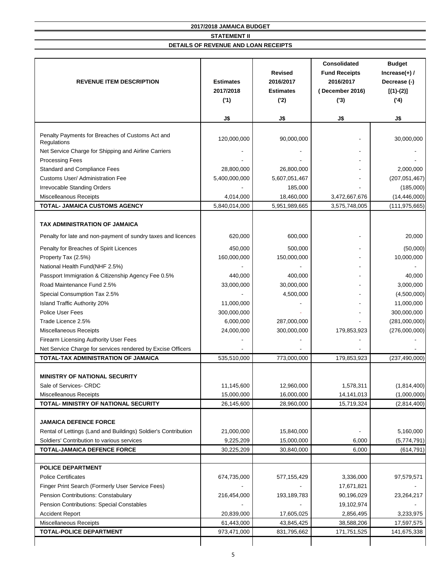| <b>REVENUE ITEM DESCRIPTION</b>                                 | <b>Estimates</b><br>2017/2018<br>('1) | <b>Revised</b><br>2016/2017<br><b>Estimates</b><br>('2) | <b>Consolidated</b><br><b>Fund Receipts</b><br>2016/2017<br>December 2016)<br>(3) | <b>Budget</b><br>Increase $(+)$ /<br>Decrease (-)<br>$[(1)-(2)]$<br>(4) |
|-----------------------------------------------------------------|---------------------------------------|---------------------------------------------------------|-----------------------------------------------------------------------------------|-------------------------------------------------------------------------|
|                                                                 | J\$                                   | J\$                                                     | J\$                                                                               | J\$                                                                     |
| Penalty Payments for Breaches of Customs Act and<br>Regulations | 120,000,000                           | 90,000,000                                              |                                                                                   | 30,000,000                                                              |
| Net Service Charge for Shipping and Airline Carriers            |                                       |                                                         |                                                                                   |                                                                         |
| <b>Processing Fees</b>                                          |                                       |                                                         |                                                                                   |                                                                         |
| <b>Standard and Compliance Fees</b>                             | 28,800,000                            | 26,800,000                                              |                                                                                   | 2,000,000                                                               |
| <b>Customs User/ Administration Fee</b>                         | 5,400,000,000                         | 5,607,051,467                                           |                                                                                   | (207, 051, 467)                                                         |
| <b>Irrevocable Standing Orders</b>                              |                                       | 185,000                                                 |                                                                                   | (185,000)                                                               |
| <b>Miscelleanous Receipts</b>                                   | 4,014,000                             | 18,460,000                                              | 3,472,667,676                                                                     | (14, 446, 000)                                                          |
| TOTAL- JAMAICA CUSTOMS AGENCY                                   | 5,840,014,000                         | 5,951,989,665                                           | 3,575,748,005                                                                     | (111, 975, 665)                                                         |
| TAX ADMINISTRATION OF JAMAICA                                   |                                       |                                                         |                                                                                   |                                                                         |
| Penalty for late and non-payment of sundry taxes and licences   | 620,000                               | 600,000                                                 |                                                                                   | 20,000                                                                  |
| Penalty for Breaches of Spirit Licences                         | 450,000                               | 500,000                                                 |                                                                                   | (50,000)                                                                |
| Property Tax (2.5%)                                             | 160,000,000                           | 150,000,000                                             |                                                                                   | 10,000,000                                                              |
| National Health Fund(NHF 2.5%)                                  |                                       |                                                         |                                                                                   |                                                                         |
| Passport Immigration & Citizenship Agency Fee 0.5%              | 440,000                               | 400,000                                                 |                                                                                   | 40,000                                                                  |
| Road Maintenance Fund 2.5%                                      | 33,000,000                            | 30,000,000                                              |                                                                                   | 3,000,000                                                               |
| Special Consumption Tax 2.5%                                    |                                       | 4,500,000                                               |                                                                                   | (4,500,000)                                                             |
| Island Traffic Authority 20%                                    | 11,000,000                            |                                                         |                                                                                   | 11,000,000                                                              |
| Police User Fees                                                | 300,000,000                           |                                                         |                                                                                   | 300,000,000                                                             |
| Trade Licence 2.5%                                              | 6,000,000                             | 287,000,000                                             |                                                                                   | (281,000,000)                                                           |
| <b>Miscellaneous Receipts</b>                                   | 24,000,000                            | 300,000,000                                             | 179,853,923                                                                       | (276,000,000)                                                           |
| Firearm Licensing Authority User Fees                           |                                       |                                                         |                                                                                   |                                                                         |
| Net Service Charge for services rendered by Excise Officers     |                                       |                                                         |                                                                                   |                                                                         |
| TOTAL-TAX ADMINISTRATION OF JAMAICA                             | 535,510,000                           | 773,000,000                                             | 179,853,923                                                                       | (237, 490, 000)                                                         |
| MINISTRY OF NATIONAL SECURITY                                   |                                       |                                                         |                                                                                   |                                                                         |
| Sale of Services- CRDC                                          | 11,145,600                            | 12,960,000                                              | 1,578,311                                                                         | (1,814,400)                                                             |
| Miscelleanous Receipts                                          | 15,000,000                            | 16,000,000                                              | 14, 141, 013                                                                      | (1,000,000)                                                             |
| TOTAL- MINISTRY OF NATIONAL SECURITY                            | 26,145,600                            | 28,960,000                                              | 15,719,324                                                                        | (2,814,400)                                                             |
|                                                                 |                                       |                                                         |                                                                                   |                                                                         |
| <b>JAMAICA DEFENCE FORCE</b>                                    |                                       |                                                         |                                                                                   |                                                                         |
| Rental of Lettings (Land and Buildings) Soldier's Contribution  | 21,000,000                            | 15,840,000                                              |                                                                                   | 5,160,000                                                               |
| Soldiers' Contribution to various services                      | 9,225,209                             | 15,000,000                                              | 6,000                                                                             | (5,774,791)                                                             |
| <b>TOTAL-JAMAICA DEFENCE FORCE</b>                              | 30,225,209                            | 30,840,000                                              | 6,000                                                                             | (614, 791)                                                              |
| <b>POLICE DEPARTMENT</b>                                        |                                       |                                                         |                                                                                   |                                                                         |
| <b>Police Certificates</b>                                      | 674,735,000                           | 577, 155, 429                                           | 3,336,000                                                                         | 97,579,571                                                              |
| Finger Print Search (Formerly User Service Fees)                |                                       |                                                         | 17,671,821                                                                        |                                                                         |
| Pension Contributions: Constabulary                             | 216,454,000                           | 193,189,783                                             | 90,196,029                                                                        | 23,264,217                                                              |
| Pension Contributions: Special Constables                       |                                       |                                                         | 19,102,974                                                                        |                                                                         |
|                                                                 | 20,839,000                            | 17,605,025                                              | 2,856,495                                                                         | 3,233,975                                                               |
|                                                                 |                                       |                                                         |                                                                                   |                                                                         |
| <b>Accident Report</b><br>Miscellaneous Receipts                | 61,443,000                            | 43,845,425                                              | 38,588,206                                                                        | 17,597,575                                                              |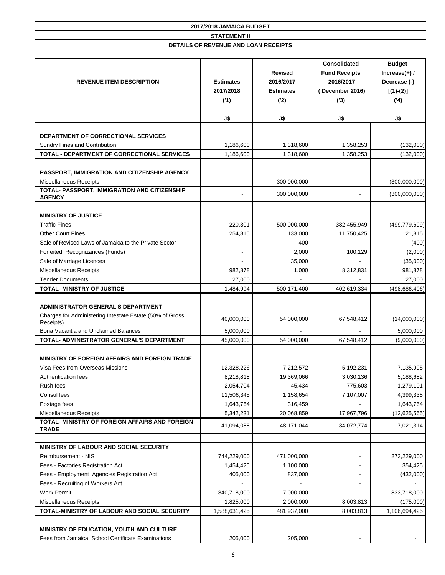| <b>REVENUE ITEM DESCRIPTION</b>                                                                                                                            | <b>Estimates</b><br>2017/2018<br>('1) | <b>Revised</b><br>2016/2017<br><b>Estimates</b><br>('2) | <b>Consolidated</b><br><b>Fund Receipts</b><br>2016/2017<br>(December 2016)<br>(3) | <b>Budget</b><br>Increase $(+)$ /<br>Decrease (-)<br>$[(1)-(2)]$<br>('4) |
|------------------------------------------------------------------------------------------------------------------------------------------------------------|---------------------------------------|---------------------------------------------------------|------------------------------------------------------------------------------------|--------------------------------------------------------------------------|
|                                                                                                                                                            | J\$                                   | J\$                                                     | J\$                                                                                | J\$                                                                      |
| DEPARTMENT OF CORRECTIONAL SERVICES                                                                                                                        |                                       |                                                         |                                                                                    |                                                                          |
| Sundry Fines and Contribution                                                                                                                              | 1,186,600                             | 1,318,600                                               | 1,358,253                                                                          | (132,000)                                                                |
| TOTAL - DEPARTMENT OF CORRECTIONAL SERVICES                                                                                                                | 1,186,600                             | 1,318,600                                               | 1,358,253                                                                          | (132,000)                                                                |
| PASSPORT, IMMIGRATION AND CITIZENSHIP AGENCY<br><b>Miscellaneous Receipts</b>                                                                              |                                       | 300,000,000                                             |                                                                                    | (300,000,000)                                                            |
| TOTAL- PASSPORT, IMMIGRATION AND CITIZENSHIP                                                                                                               |                                       |                                                         |                                                                                    |                                                                          |
| <b>AGENCY</b>                                                                                                                                              |                                       | 300,000,000                                             |                                                                                    | (300,000,000)                                                            |
|                                                                                                                                                            |                                       |                                                         |                                                                                    |                                                                          |
| <b>MINISTRY OF JUSTICE</b><br><b>Traffic Fines</b>                                                                                                         | 220,301                               | 500,000,000                                             | 382,455,949                                                                        | (499, 779, 699)                                                          |
| <b>Other Court Fines</b>                                                                                                                                   | 254,815                               | 133,000                                                 | 11,750,425                                                                         | 121,815                                                                  |
| Sale of Revised Laws of Jamaica to the Private Sector                                                                                                      |                                       | 400                                                     |                                                                                    | (400)                                                                    |
| Forfeited Recognizances (Funds)                                                                                                                            |                                       | 2,000                                                   | 100,129                                                                            | (2,000)                                                                  |
| Sale of Marriage Licences                                                                                                                                  |                                       | 35,000                                                  |                                                                                    | (35,000)                                                                 |
| Miscellaneous Receipts                                                                                                                                     | 982,878                               | 1,000                                                   | 8,312,831                                                                          | 981,878                                                                  |
| <b>Tender Documents</b>                                                                                                                                    | 27,000                                |                                                         |                                                                                    | 27,000                                                                   |
| <b>TOTAL- MINISTRY OF JUSTICE</b>                                                                                                                          | 1,484,994                             | 500,171,400                                             | 402,619,334                                                                        | (498, 686, 406)                                                          |
| <b>ADMINISTRATOR GENERAL'S DEPARTMENT</b><br>Charges for Administering Intestate Estate (50% of Gross<br>Receipts)<br>Bona Vacantia and Unclaimed Balances | 40,000,000                            | 54,000,000                                              | 67,548,412                                                                         | (14,000,000)                                                             |
| TOTAL- ADMINISTRATOR GENERAL'S DEPARTMENT                                                                                                                  | 5,000,000<br>45,000,000               | 54,000,000                                              | 67,548,412                                                                         | 5,000,000<br>(9,000,000)                                                 |
| MINISTRY OF FOREIGN AFFAIRS AND FOREIGN TRADE                                                                                                              |                                       |                                                         |                                                                                    |                                                                          |
| Visa Fees from Overseas Missions                                                                                                                           | 12,328,226                            | 7,212,572                                               | 5,192,231                                                                          | 7,135,995                                                                |
| Authentication fees<br>Rush fees                                                                                                                           | 8,218,818<br>2,054,704                | 19,369,066<br>45,434                                    | 3,030,136<br>775,603                                                               | 5,188,682<br>1,279,101                                                   |
| Consul fees                                                                                                                                                | 11,506,345                            | 1,158,654                                               | 7,107,007                                                                          | 4,399,338                                                                |
| Postage fees                                                                                                                                               | 1,643,764                             | 316,459                                                 |                                                                                    | 1,643,764                                                                |
| Miscellaneous Receipts                                                                                                                                     | 5,342,231                             | 20,068,859                                              | 17,967,796                                                                         | (12,625,565)                                                             |
| TOTAL- MINISTRY OF FOREIGN AFFAIRS AND FOREIGN<br><b>TRADE</b>                                                                                             | 41,094,088                            | 48,171,044                                              | 34,072,774                                                                         | 7,021,314                                                                |
| MINISTRY OF LABOUR AND SOCIAL SECURITY                                                                                                                     |                                       |                                                         |                                                                                    |                                                                          |
| Reimbursement - NIS                                                                                                                                        | 744,229,000                           | 471,000,000                                             |                                                                                    | 273,229,000                                                              |
| Fees - Factories Registration Act                                                                                                                          | 1,454,425                             | 1,100,000                                               |                                                                                    | 354,425                                                                  |
| Fees - Employment Agencies Registration Act                                                                                                                | 405,000                               | 837,000                                                 |                                                                                    | (432,000)                                                                |
| Fees - Recruiting of Workers Act                                                                                                                           |                                       |                                                         |                                                                                    |                                                                          |
| <b>Work Permit</b>                                                                                                                                         | 840,718,000                           | 7,000,000                                               |                                                                                    | 833,718,000                                                              |
| Miscellaneous Receipts                                                                                                                                     | 1,825,000                             | 2,000,000                                               | 8,003,813                                                                          | (175,000)                                                                |
| TOTAL-MINISTRY OF LABOUR AND SOCIAL SECURITY                                                                                                               | 1,588,631,425                         | 481,937,000                                             | 8,003,813                                                                          | 1,106,694,425                                                            |
| MINISTRY OF EDUCATION, YOUTH AND CULTURE<br>Fees from Jamaica School Certificate Examinations                                                              | 205,000                               | 205,000                                                 |                                                                                    |                                                                          |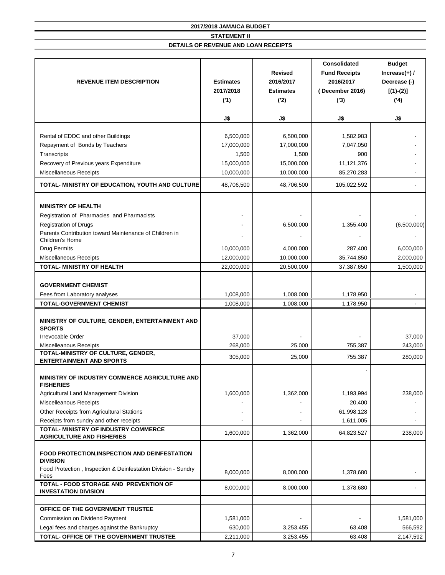| <b>REVENUE ITEM DESCRIPTION</b>                                                                                                                                   | <b>Estimates</b><br>2017/2018<br>('1)<br>J\$   | <b>Revised</b><br>2016/2017<br><b>Estimates</b><br>('2)<br>J\$ | <b>Consolidated</b><br><b>Fund Receipts</b><br>2016/2017<br>(December 2016)<br>(3)<br>J\$ | <b>Budget</b><br>Increase $(+)$ /<br>Decrease (-)<br>$[(1)-(2)]$<br>('4)<br>J\$ |
|-------------------------------------------------------------------------------------------------------------------------------------------------------------------|------------------------------------------------|----------------------------------------------------------------|-------------------------------------------------------------------------------------------|---------------------------------------------------------------------------------|
|                                                                                                                                                                   |                                                |                                                                |                                                                                           |                                                                                 |
| Rental of EDDC and other Buildings<br>Repayment of Bonds by Teachers<br>Transcripts<br>Recovery of Previous years Expenditure                                     | 6,500,000<br>17,000,000<br>1,500<br>15,000,000 | 6,500,000<br>17,000,000<br>1,500<br>15,000,000                 | 1,582,983<br>7,047,050<br>900<br>11,121,376                                               |                                                                                 |
| Miscellaneous Receipts                                                                                                                                            | 10,000,000                                     | 10,000,000                                                     | 85,270,283                                                                                |                                                                                 |
| TOTAL- MINISTRY OF EDUCATION, YOUTH AND CULTURE                                                                                                                   | 48,706,500                                     | 48,706,500                                                     | 105,022,592                                                                               |                                                                                 |
|                                                                                                                                                                   |                                                |                                                                |                                                                                           |                                                                                 |
| <b>MINISTRY OF HEALTH</b><br>Registration of Pharmacies and Pharmacists<br><b>Registration of Drugs</b><br>Parents Contribution toward Maintenance of Children in |                                                | 6,500,000                                                      | 1,355,400                                                                                 | (6,500,000)                                                                     |
| Children's Home<br><b>Drug Permits</b><br><b>Miscellaneous Receipts</b>                                                                                           | 10,000,000<br>12,000,000                       | 4,000,000<br>10,000,000                                        | 287,400<br>35,744,850                                                                     | 6,000,000<br>2,000,000                                                          |
| TOTAL- MINISTRY OF HEALTH                                                                                                                                         | 22,000,000                                     | 20,500,000                                                     | 37,387,650                                                                                | 1,500,000                                                                       |
| <b>GOVERNMENT CHEMIST</b><br>Fees from Laboratory analyses                                                                                                        | 1,008,000                                      | 1,008,000                                                      | 1,178,950                                                                                 |                                                                                 |
| <b>TOTAL-GOVERNMENT CHEMIST</b>                                                                                                                                   | 1,008,000                                      | 1,008,000                                                      | 1,178,950                                                                                 |                                                                                 |
| MINISTRY OF CULTURE, GENDER, ENTERTAINMENT AND<br><b>SPORTS</b><br>Irrevocable Order                                                                              | 37,000                                         |                                                                |                                                                                           | 37,000                                                                          |
| <b>Miscelleanous Receipts</b><br>TOTAL-MINISTRY OF CULTURE, GENDER,                                                                                               | 268,000                                        | 25,000                                                         | 755,387                                                                                   | 243,000                                                                         |
| <b>ENTERTAINMENT AND SPORTS</b>                                                                                                                                   | 305,000                                        | 25,000                                                         | 755,387                                                                                   | 280,000                                                                         |
| MINISTRY OF INDUSTRY COMMERCE AGRICULTURE AND<br><b>FISHERIES</b>                                                                                                 |                                                |                                                                |                                                                                           |                                                                                 |
| Agricultural Land Management Division<br>Miscelleanous Receipts<br>Other Receipts from Agricultural Stations                                                      | 1,600,000                                      | 1,362,000                                                      | 1,193,994<br>20,400<br>61,998,128                                                         | 238,000                                                                         |
| Receipts from sundry and other receipts                                                                                                                           |                                                |                                                                | 1,611,005                                                                                 |                                                                                 |
| TOTAL- MINISTRY OF INDUSTRY COMMERCE<br><b>AGRICULTURE AND FISHERIES</b>                                                                                          | 1,600,000                                      | 1,362,000                                                      | 64,823,527                                                                                | 238,000                                                                         |
| FOOD PROTECTION, INSPECTION AND DEINFESTATION<br><b>DIVISION</b>                                                                                                  |                                                |                                                                |                                                                                           |                                                                                 |
| Food Protection, Inspection & Deinfestation Division - Sundry<br>Fees                                                                                             | 8,000,000                                      | 8,000,000                                                      | 1,378,680                                                                                 |                                                                                 |
| TOTAL - FOOD STORAGE AND PREVENTION OF<br><b>INVESTATION DIVISION</b>                                                                                             | 8,000,000                                      | 8,000,000                                                      | 1,378,680                                                                                 |                                                                                 |
| OFFICE OF THE GOVERNMENT TRUSTEE                                                                                                                                  |                                                |                                                                |                                                                                           |                                                                                 |
| Commission on Dividend Payment                                                                                                                                    | 1,581,000                                      |                                                                |                                                                                           | 1,581,000                                                                       |
| Legal fees and charges against the Bankruptcy                                                                                                                     | 630,000                                        | 3,253,455                                                      | 63,408                                                                                    | 566,592                                                                         |
| TOTAL- OFFICE OF THE GOVERNMENT TRUSTEE                                                                                                                           | 2,211,000                                      | 3,253,455                                                      | 63,408                                                                                    | 2,147,592                                                                       |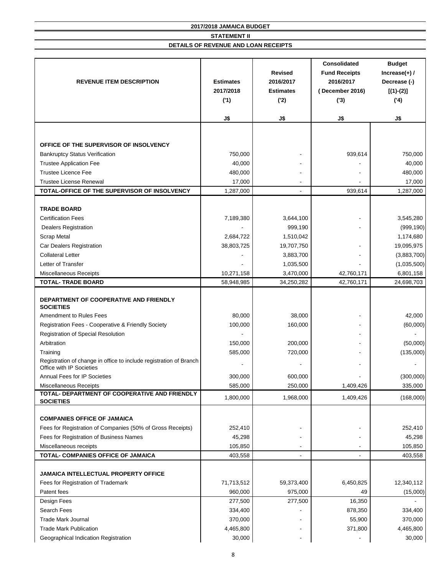| <b>REVENUE ITEM DESCRIPTION</b>                                                                | <b>Estimates</b><br>2017/2018<br>('1) | <b>Revised</b><br>2016/2017<br><b>Estimates</b><br>(2) | <b>Consolidated</b><br><b>Fund Receipts</b><br>2016/2017<br>(December 2016)<br>(3) | <b>Budget</b><br>Increase $(+)$ /<br>Decrease (-)<br>$[(1)-(2)]$<br>(4) |
|------------------------------------------------------------------------------------------------|---------------------------------------|--------------------------------------------------------|------------------------------------------------------------------------------------|-------------------------------------------------------------------------|
|                                                                                                | J\$                                   | J\$                                                    | J\$                                                                                | J\$                                                                     |
|                                                                                                |                                       |                                                        |                                                                                    |                                                                         |
| OFFICE OF THE SUPERVISOR OF INSOLVENCY                                                         |                                       |                                                        |                                                                                    |                                                                         |
| <b>Bankruptcy Status Verification</b>                                                          | 750,000                               |                                                        | 939,614                                                                            | 750,000                                                                 |
| <b>Trustee Application Fee</b>                                                                 | 40,000                                |                                                        |                                                                                    | 40,000                                                                  |
| <b>Trustee Licence Fee</b>                                                                     | 480,000                               |                                                        |                                                                                    | 480,000                                                                 |
| <b>Trustee License Renewal</b>                                                                 | 17,000                                |                                                        |                                                                                    | 17,000                                                                  |
| TOTAL-OFFICE OF THE SUPERVISOR OF INSOLVENCY                                                   | 1,287,000                             | $\sim$                                                 | 939,614                                                                            | 1,287,000                                                               |
|                                                                                                |                                       |                                                        |                                                                                    |                                                                         |
| <b>TRADE BOARD</b>                                                                             |                                       |                                                        |                                                                                    |                                                                         |
| <b>Certification Fees</b>                                                                      | 7,189,380                             | 3,644,100                                              |                                                                                    | 3,545,280                                                               |
| <b>Dealers Registration</b>                                                                    |                                       | 999,190                                                |                                                                                    | (999, 190)                                                              |
| <b>Scrap Metal</b><br>Car Dealers Registration                                                 | 2,684,722<br>38,803,725               | 1,510,042<br>19,707,750                                |                                                                                    | 1,174,680<br>19,095,975                                                 |
| <b>Collateral Letter</b>                                                                       |                                       | 3,883,700                                              |                                                                                    | (3,883,700)                                                             |
| Letter of Transfer                                                                             |                                       | 1,035,500                                              |                                                                                    | (1,035,500)                                                             |
| <b>Miscellaneous Receipts</b>                                                                  | 10,271,158                            | 3,470,000                                              | 42,760,171                                                                         | 6,801,158                                                               |
| <b>TOTAL- TRADE BOARD</b>                                                                      | 58,948,985                            | 34,250,282                                             | 42,760,171                                                                         | 24,698,703                                                              |
| DEPARTMENT OF COOPERATIVE AND FRIENDLY<br><b>SOCIETIES</b>                                     |                                       |                                                        |                                                                                    |                                                                         |
| <b>Amendment to Rules Fees</b>                                                                 | 80,000                                | 38,000                                                 |                                                                                    | 42,000                                                                  |
| Registration Fees - Cooperative & Friendly Society                                             | 100,000                               | 160,000                                                |                                                                                    | (60,000)                                                                |
| <b>Registration of Special Resolution</b>                                                      |                                       |                                                        |                                                                                    |                                                                         |
| Arbitration                                                                                    | 150,000                               | 200,000                                                |                                                                                    | (50,000)                                                                |
| Training                                                                                       | 585,000                               | 720,000                                                |                                                                                    | (135,000)                                                               |
| Registration of change in office to include registration of Branch<br>Office with IP Societies |                                       |                                                        |                                                                                    |                                                                         |
| <b>Annual Fees for IP Societies</b>                                                            | 300,000                               | 600,000                                                |                                                                                    | (300,000)                                                               |
| Miscellaneous Receipts                                                                         | 585,000                               | 250,000                                                | 1,409,426                                                                          | 335,000                                                                 |
| TOTAL- DEPARTMENT OF COOPERATIVE AND FRIENDLY                                                  | 1,800,000                             | 1,968,000                                              | 1,409,426                                                                          | (168,000)                                                               |
| <b>SOCIETIES</b>                                                                               |                                       |                                                        |                                                                                    |                                                                         |
| <b>COMPANIES OFFICE OF JAMAICA</b>                                                             |                                       |                                                        |                                                                                    |                                                                         |
| Fees for Registration of Companies (50% of Gross Receipts)                                     | 252,410                               |                                                        |                                                                                    | 252,410                                                                 |
| Fees for Registration of Business Names                                                        | 45,298                                |                                                        |                                                                                    | 45,298                                                                  |
| Miscellaneous receipts                                                                         | 105,850                               |                                                        |                                                                                    | 105,850                                                                 |
| TOTAL- COMPANIES OFFICE OF JAMAICA                                                             | 403,558                               |                                                        | $\blacksquare$                                                                     | 403,558                                                                 |
|                                                                                                |                                       |                                                        |                                                                                    |                                                                         |
| JAMAICA INTELLECTUAL PROPERTY OFFICE                                                           |                                       |                                                        |                                                                                    |                                                                         |
| Fees for Registration of Trademark                                                             | 71,713,512                            | 59,373,400                                             | 6,450,825                                                                          | 12,340,112                                                              |
| Patent fees                                                                                    | 960,000                               | 975,000                                                | 49                                                                                 | (15,000)                                                                |
| Design Fees                                                                                    | 277,500                               | 277,500                                                | 16,350                                                                             |                                                                         |
| Search Fees                                                                                    | 334,400                               |                                                        | 878,350                                                                            | 334,400                                                                 |
| <b>Trade Mark Journal</b>                                                                      | 370,000                               |                                                        | 55,900                                                                             | 370,000                                                                 |
| <b>Trade Mark Publication</b>                                                                  | 4,465,800                             |                                                        | 371,800                                                                            | 4,465,800                                                               |
| Geographical Indication Registration                                                           | 30,000                                |                                                        |                                                                                    | 30,000                                                                  |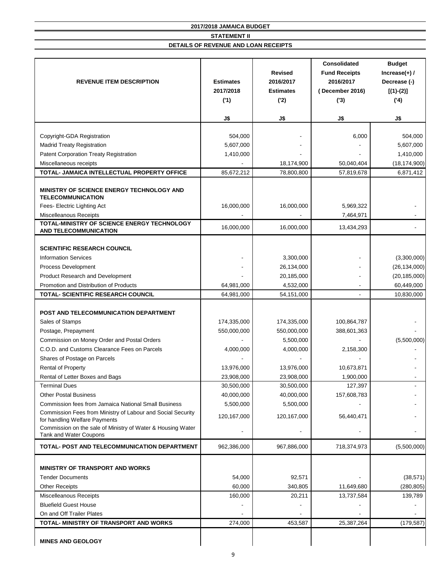| <b>REVENUE ITEM DESCRIPTION</b>                                                              | <b>Estimates</b><br>2017/2018<br>('1) | <b>Revised</b><br>2016/2017<br><b>Estimates</b><br>('2) | <b>Consolidated</b><br><b>Fund Receipts</b><br>2016/2017<br>(December 2016)<br>(3) | <b>Budget</b><br>Increase $(+)$ /<br>Decrease (-)<br>$[(1)-(2)]$<br>(4) |
|----------------------------------------------------------------------------------------------|---------------------------------------|---------------------------------------------------------|------------------------------------------------------------------------------------|-------------------------------------------------------------------------|
|                                                                                              | J\$                                   | J\$                                                     | J\$                                                                                | J\$                                                                     |
|                                                                                              |                                       |                                                         |                                                                                    |                                                                         |
| Copyright-GDA Registration                                                                   | 504,000                               |                                                         | 6,000                                                                              | 504,000                                                                 |
| <b>Madrid Treaty Registration</b>                                                            | 5,607,000                             |                                                         |                                                                                    | 5,607,000                                                               |
| <b>Patent Corporation Treaty Registration</b>                                                | 1,410,000                             |                                                         |                                                                                    | 1,410,000                                                               |
| Miscellaneous receipts                                                                       |                                       | 18,174,900                                              | 50,040,404                                                                         | (18, 174, 900)                                                          |
| TOTAL- JAMAICA INTELLECTUAL PROPERTY OFFICE                                                  | 85,672,212                            | 78,800,800                                              | 57,819,678                                                                         | 6,871,412                                                               |
| MINISTRY OF SCIENCE ENERGY TECHNOLOGY AND<br><b>TELECOMMUNICATION</b>                        |                                       |                                                         |                                                                                    |                                                                         |
| Fees- Electric Lighting Act                                                                  | 16,000,000                            | 16,000,000                                              | 5,969,322                                                                          |                                                                         |
| Miscelleanous Receipts                                                                       |                                       |                                                         | 7,464,971                                                                          |                                                                         |
| TOTAL-MINISTRY OF SCIENCE ENERGY TECHNOLOGY<br><b>AND TELECOMMUNICATION</b>                  | 16,000,000                            | 16,000,000                                              | 13,434,293                                                                         |                                                                         |
|                                                                                              |                                       |                                                         |                                                                                    |                                                                         |
| <b>SCIENTIFIC RESEARCH COUNCIL</b>                                                           |                                       |                                                         |                                                                                    |                                                                         |
| <b>Information Services</b>                                                                  |                                       | 3,300,000                                               |                                                                                    | (3,300,000)                                                             |
| Process Development                                                                          |                                       | 26,134,000                                              |                                                                                    | (26, 134, 000)                                                          |
| Product Research and Development                                                             |                                       | 20,185,000                                              |                                                                                    | (20, 185, 000)                                                          |
| Promotion and Distribution of Products                                                       | 64,981,000                            | 4,532,000                                               |                                                                                    | 60,449,000                                                              |
| TOTAL- SCIENTIFIC RESEARCH COUNCIL                                                           | 64,981,000                            | 54,151,000                                              | $\blacksquare$                                                                     | 10,830,000                                                              |
|                                                                                              |                                       |                                                         |                                                                                    |                                                                         |
| POST AND TELECOMMUNICATION DEPARTMENT                                                        |                                       |                                                         |                                                                                    |                                                                         |
| Sales of Stamps                                                                              | 174,335,000                           | 174,335,000                                             | 100,864,787                                                                        |                                                                         |
| Postage, Prepayment                                                                          | 550,000,000                           | 550,000,000                                             | 388,601,363                                                                        |                                                                         |
| Commission on Money Order and Postal Orders<br>C.O.D. and Customs Clearance Fees on Parcels  | 4,000,000                             | 5,500,000<br>4,000,000                                  |                                                                                    | (5,500,000)                                                             |
| Shares of Postage on Parcels                                                                 |                                       |                                                         | 2,158,300                                                                          |                                                                         |
| <b>Rental of Property</b>                                                                    | 13,976,000                            | 13,976,000                                              | 10,673,871                                                                         |                                                                         |
| Rental of Letter Boxes and Bags                                                              | 23,908,000                            | 23,908,000                                              | 1,900,000                                                                          |                                                                         |
| <b>Terminal Dues</b>                                                                         | 30,500,000                            | 30,500,000                                              | 127,397                                                                            |                                                                         |
| <b>Other Postal Business</b>                                                                 | 40,000,000                            | 40,000,000                                              | 157,608,783                                                                        |                                                                         |
| <b>Commission fees from Jamaica National Small Business</b>                                  | 5,500,000                             | 5,500,000                                               |                                                                                    |                                                                         |
| Commission Fees from Ministry of Labour and Social Security<br>for handling Welfare Payments | 120, 167, 000                         | 120,167,000                                             | 56,440,471                                                                         |                                                                         |
| Commission on the sale of Ministry of Water & Housing Water<br>Tank and Water Coupons        |                                       |                                                         |                                                                                    |                                                                         |
| TOTAL- POST AND TELECOMMUNICATION DEPARTMENT                                                 | 962,386,000                           | 967,886,000                                             | 718,374,973                                                                        | (5,500,000)                                                             |
| <b>MINISTRY OF TRANSPORT AND WORKS</b>                                                       |                                       |                                                         |                                                                                    |                                                                         |
| <b>Tender Documents</b>                                                                      | 54,000                                | 92,571                                                  |                                                                                    | (38, 571)                                                               |
| <b>Other Receipts</b>                                                                        | 60,000                                | 340,805                                                 | 11,649,680                                                                         | (280, 805)                                                              |
| <b>Miscelleanous Receipts</b>                                                                | 160,000                               | 20,211                                                  | 13,737,584                                                                         | 139,789                                                                 |
| <b>Bluefield Guest House</b>                                                                 |                                       |                                                         |                                                                                    |                                                                         |
| On and Off Trailer Plates                                                                    |                                       |                                                         |                                                                                    |                                                                         |
| TOTAL- MINISTRY OF TRANSPORT AND WORKS                                                       | 274,000                               | 453,587                                                 | 25,387,264                                                                         | (179, 587)                                                              |
| <b>MINES AND GEOLOGY</b>                                                                     | 9                                     |                                                         |                                                                                    |                                                                         |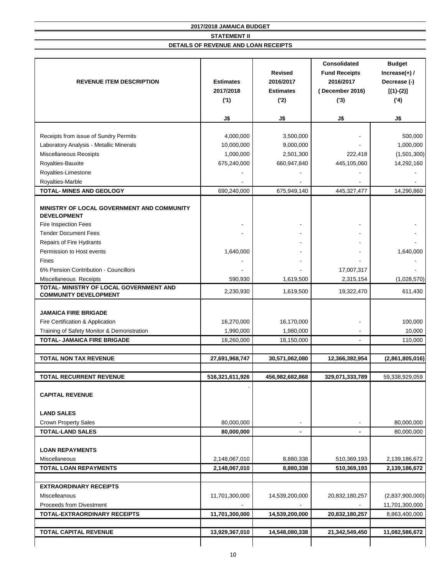|                                                                         | <b>Revised</b><br><b>Estimates</b><br>2016/2017<br><b>REVENUE ITEM DESCRIPTION</b><br>2017/2018<br><b>Estimates</b><br>('1)<br>(2) |                 | 2016/2017<br>December 2016)<br>(3) | <b>Budget</b><br>Increase $(+)$ /<br>Decrease (-)<br>$[(1)-(2)]$<br>(4) |  |
|-------------------------------------------------------------------------|------------------------------------------------------------------------------------------------------------------------------------|-----------------|------------------------------------|-------------------------------------------------------------------------|--|
|                                                                         | J\$                                                                                                                                | J\$             | J\$                                | J\$                                                                     |  |
| Receipts from issue of Sundry Permits                                   | 4,000,000                                                                                                                          | 3,500,000       |                                    | 500,000                                                                 |  |
| Laboratory Analysis - Metallic Minerals                                 | 10,000,000                                                                                                                         | 9,000,000       |                                    | 1,000,000                                                               |  |
| Miscellaneous Receipts                                                  | 1,000,000                                                                                                                          | 2,501,300       | 222,418                            | (1,501,300)                                                             |  |
| Royalties-Bauxite                                                       | 675,240,000                                                                                                                        | 660,947,840     | 445,105,060                        | 14,292,160                                                              |  |
| Royalties-Limestone                                                     |                                                                                                                                    |                 |                                    |                                                                         |  |
| Royalties-Marble                                                        |                                                                                                                                    |                 |                                    |                                                                         |  |
| <b>TOTAL- MINES AND GEOLOGY</b>                                         | 690,240,000                                                                                                                        | 675,949,140     | 445,327,477                        | 14,290,860                                                              |  |
|                                                                         |                                                                                                                                    |                 |                                    |                                                                         |  |
| MINISTRY OF LOCAL GOVERNMENT AND COMMUNITY<br><b>DEVELOPMENT</b>        |                                                                                                                                    |                 |                                    |                                                                         |  |
| Fire Inspection Fees                                                    |                                                                                                                                    |                 |                                    |                                                                         |  |
| <b>Tender Document Fees</b>                                             |                                                                                                                                    |                 |                                    |                                                                         |  |
| Repairs of Fire Hydrants                                                |                                                                                                                                    |                 |                                    |                                                                         |  |
| Permission to Host events                                               | 1,640,000                                                                                                                          |                 |                                    | 1,640,000                                                               |  |
| <b>Fines</b>                                                            |                                                                                                                                    |                 |                                    |                                                                         |  |
| 6% Pension Contribution - Councillors                                   |                                                                                                                                    |                 | 17,007,317                         |                                                                         |  |
| Miscellaneous Receipts                                                  | 590,930                                                                                                                            | 1,619,500       | 2,315,154                          | (1,028,570)                                                             |  |
| TOTAL- MINISTRY OF LOCAL GOVERNMENT AND<br><b>COMMUNITY DEVELOPMENT</b> | 2,230,930                                                                                                                          | 1,619,500       | 19,322,470                         | 611,430                                                                 |  |
| <b>JAMAICA FIRE BRIGADE</b>                                             |                                                                                                                                    |                 |                                    |                                                                         |  |
| Fire Certification & Application                                        | 16,270,000                                                                                                                         | 16,170,000      |                                    | 100,000                                                                 |  |
| Training of Safety Monitor & Demonstration                              | 1,990,000                                                                                                                          | 1,980,000       |                                    | 10,000                                                                  |  |
| <b>TOTAL- JAMAICA FIRE BRIGADE</b>                                      | 18,260,000                                                                                                                         | 18,150,000      |                                    | 110,000                                                                 |  |
|                                                                         |                                                                                                                                    |                 |                                    |                                                                         |  |
| <b>TOTAL NON TAX REVENUE</b>                                            | 27,691,968,747                                                                                                                     | 30,571,062,080  | 12,366,392,954                     | (2,861,805,016)                                                         |  |
|                                                                         |                                                                                                                                    |                 |                                    |                                                                         |  |
| <b>TOTAL RECURRENT REVENUE</b>                                          | 516,321,611,926                                                                                                                    | 456,982,682,868 | 329,071,333,789                    | 59,338,929,059                                                          |  |
| <b>CAPITAL REVENUE</b>                                                  |                                                                                                                                    |                 |                                    |                                                                         |  |
| <b>LAND SALES</b>                                                       |                                                                                                                                    |                 |                                    |                                                                         |  |
| <b>Crown Property Sales</b>                                             | 80,000,000                                                                                                                         |                 |                                    | 80,000,000                                                              |  |
| <b>TOTAL-LAND SALES</b>                                                 | 80,000,000                                                                                                                         |                 |                                    | 80,000,000                                                              |  |
|                                                                         |                                                                                                                                    |                 |                                    |                                                                         |  |
| <b>LOAN REPAYMENTS</b>                                                  |                                                                                                                                    |                 |                                    |                                                                         |  |
| Miscellaneous                                                           | 2,148,067,010                                                                                                                      | 8,880,338       | 510,369,193                        | 2,139,186,672                                                           |  |
| <b>TOTAL LOAN REPAYMENTS</b>                                            | 2,148,067,010                                                                                                                      | 8,880,338       | 510,369,193                        | 2,139,186,672                                                           |  |
|                                                                         |                                                                                                                                    |                 |                                    |                                                                         |  |
| <b>EXTRAORDINARY RECEIPTS</b>                                           |                                                                                                                                    |                 |                                    |                                                                         |  |
| Miscelleanous                                                           | 11,701,300,000                                                                                                                     | 14,539,200,000  | 20,832,180,257                     | (2,837,900,000)                                                         |  |
| <b>Proceeds from Divestment</b>                                         |                                                                                                                                    |                 |                                    | 11,701,300,000                                                          |  |
| <b>TOTAL-EXTRAORDINARY RECEIPTS</b>                                     | 11,701,300,000                                                                                                                     | 14,539,200,000  | 20,832,180,257                     | 8,863,400,000                                                           |  |
|                                                                         |                                                                                                                                    |                 |                                    |                                                                         |  |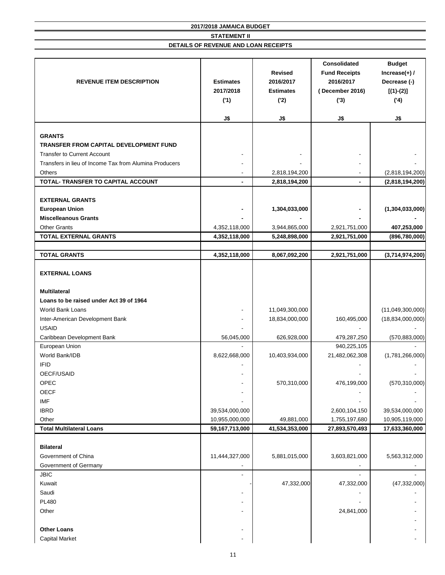| <b>REVENUE ITEM DESCRIPTION</b>                        | <b>Estimates</b><br>2017/2018<br>('1)<br>J\$ | <b>Revised</b><br>2016/2017<br><b>Estimates</b><br>('2)<br>J\$ | <b>Consolidated</b><br><b>Fund Receipts</b><br>2016/2017<br>(December 2016)<br>(3)<br>J\$ | <b>Budget</b><br>Increase $(+)$ /<br>Decrease (-)<br>$[(1)-(2)]$<br>(4)<br>J\$ |
|--------------------------------------------------------|----------------------------------------------|----------------------------------------------------------------|-------------------------------------------------------------------------------------------|--------------------------------------------------------------------------------|
|                                                        |                                              |                                                                |                                                                                           |                                                                                |
| <b>GRANTS</b>                                          |                                              |                                                                |                                                                                           |                                                                                |
| TRANSFER FROM CAPITAL DEVELOPMENT FUND                 |                                              |                                                                |                                                                                           |                                                                                |
| <b>Transfer to Current Account</b>                     |                                              |                                                                |                                                                                           |                                                                                |
| Transfers in lieu of Income Tax from Alumina Producers |                                              |                                                                |                                                                                           |                                                                                |
| <b>Others</b>                                          |                                              | 2,818,194,200                                                  |                                                                                           | (2,818,194,200)                                                                |
| TOTAL- TRANSFER TO CAPITAL ACCOUNT                     |                                              | 2,818,194,200                                                  | $\blacksquare$                                                                            | (2,818,194,200)                                                                |
|                                                        |                                              |                                                                |                                                                                           |                                                                                |
| <b>EXTERNAL GRANTS</b>                                 |                                              |                                                                |                                                                                           |                                                                                |
| <b>European Union</b>                                  |                                              | 1,304,033,000                                                  |                                                                                           | (1,304,033,000)                                                                |
| <b>Miscelleanous Grants</b>                            |                                              |                                                                |                                                                                           |                                                                                |
| <b>Other Grants</b><br><b>TOTAL EXTERNAL GRANTS</b>    | 4,352,118,000<br>4,352,118,000               | 3,944,865,000<br>5,248,898,000                                 | 2,921,751,000<br>2,921,751,000                                                            | 407,253,000<br>(896, 780, 000)                                                 |
|                                                        |                                              |                                                                |                                                                                           |                                                                                |
| <b>TOTAL GRANTS</b>                                    | 4,352,118,000                                | 8,067,092,200                                                  | 2,921,751,000                                                                             | (3,714,974,200)                                                                |
|                                                        |                                              |                                                                |                                                                                           |                                                                                |
| <b>EXTERNAL LOANS</b>                                  |                                              |                                                                |                                                                                           |                                                                                |
| <b>Multilateral</b>                                    |                                              |                                                                |                                                                                           |                                                                                |
| Loans to be raised under Act 39 of 1964                |                                              |                                                                |                                                                                           |                                                                                |
| World Bank Loans                                       |                                              | 11,049,300,000                                                 |                                                                                           | (11,049,300,000)                                                               |
| Inter-American Development Bank                        |                                              | 18,834,000,000                                                 | 160,495,000                                                                               | (18, 834, 000, 000)                                                            |
| <b>USAID</b>                                           |                                              |                                                                |                                                                                           |                                                                                |
| Caribbean Development Bank                             | 56,045,000                                   | 626,928,000                                                    | 479,287,250                                                                               | (570, 883, 000)                                                                |
| European Union                                         |                                              |                                                                | 940,225,105                                                                               |                                                                                |
| World Bank/IDB                                         | 8,622,668,000                                | 10,403,934,000                                                 | 21,482,062,308                                                                            | (1,781,266,000)                                                                |
| <b>IFID</b>                                            |                                              |                                                                |                                                                                           |                                                                                |
| OECF/USAID                                             |                                              |                                                                |                                                                                           |                                                                                |
| OPEC                                                   |                                              | 570,310,000                                                    | 476,199,000                                                                               | (570, 310, 000)                                                                |
| <b>OECF</b>                                            |                                              |                                                                |                                                                                           |                                                                                |
| <b>IMF</b>                                             |                                              |                                                                |                                                                                           |                                                                                |
| <b>IBRD</b>                                            | 39,534,000,000                               |                                                                | 2,600,104,150                                                                             | 39,534,000,000                                                                 |
| Other                                                  | 10,955,000,000                               | 49,881,000                                                     | 1,755,197,680                                                                             | 10,905,119,000                                                                 |
| <b>Total Multilateral Loans</b>                        | 59,167,713,000                               | 41,534,353,000                                                 | 27,893,570,493                                                                            | 17,633,360,000                                                                 |
| <b>Bilateral</b>                                       |                                              |                                                                |                                                                                           |                                                                                |
| Government of China                                    | 11,444,327,000                               | 5,881,015,000                                                  | 3,603,821,000                                                                             | 5,563,312,000                                                                  |
| Government of Germany                                  |                                              |                                                                |                                                                                           |                                                                                |
| <b>JBIC</b>                                            |                                              |                                                                |                                                                                           |                                                                                |
| Kuwait                                                 |                                              | 47,332,000                                                     | 47,332,000                                                                                | (47, 332, 000)                                                                 |
| Saudi                                                  |                                              |                                                                |                                                                                           |                                                                                |
| <b>PL480</b>                                           |                                              |                                                                |                                                                                           |                                                                                |
| Other                                                  |                                              |                                                                | 24,841,000                                                                                |                                                                                |
|                                                        |                                              |                                                                |                                                                                           |                                                                                |
| <b>Other Loans</b>                                     |                                              |                                                                |                                                                                           |                                                                                |
| <b>Capital Market</b>                                  |                                              |                                                                |                                                                                           |                                                                                |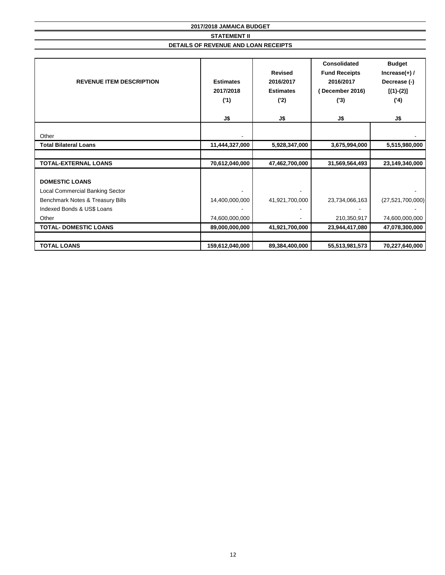**2017/2018 JAMAICA BUDGET STATEMENT II DETAILS OF REVENUE AND LOAN RECEIPTS**

| <b>REVENUE ITEM DESCRIPTION</b>        | <b>Estimates</b><br>2017/2018<br>('1) | <b>Consolidated</b><br><b>Revised</b><br><b>Fund Receipts</b><br>2016/2017<br>2016/2017<br><b>Estimates</b><br>December 2016)<br>(2)<br>(3) |                |                     |  | <b>Budget</b><br>Increase $(+)$ /<br>Decrease (-)<br>$[(1)-(2)]$<br>(4) |
|----------------------------------------|---------------------------------------|---------------------------------------------------------------------------------------------------------------------------------------------|----------------|---------------------|--|-------------------------------------------------------------------------|
|                                        | J\$                                   | J\$                                                                                                                                         | J\$            | J\$                 |  |                                                                         |
| Other                                  |                                       |                                                                                                                                             |                |                     |  |                                                                         |
| <b>Total Bilateral Loans</b>           | 11,444,327,000                        | 5,928,347,000                                                                                                                               | 3,675,994,000  | 5,515,980,000       |  |                                                                         |
|                                        |                                       |                                                                                                                                             |                |                     |  |                                                                         |
| <b>TOTAL-EXTERNAL LOANS</b>            | 70,612,040,000                        | 47,462,700,000                                                                                                                              | 31,569,564,493 | 23,149,340,000      |  |                                                                         |
| <b>DOMESTIC LOANS</b>                  |                                       |                                                                                                                                             |                |                     |  |                                                                         |
| <b>Local Commercial Banking Sector</b> |                                       |                                                                                                                                             |                |                     |  |                                                                         |
| Benchmark Notes & Treasury Bills       | 14,400,000,000                        | 41,921,700,000                                                                                                                              | 23,734,066,163 | (27, 521, 700, 000) |  |                                                                         |
| Indexed Bonds & US\$ Loans             |                                       |                                                                                                                                             |                |                     |  |                                                                         |
| Other                                  | 74,600,000,000                        |                                                                                                                                             | 210,350,917    | 74,600,000,000      |  |                                                                         |
| <b>TOTAL- DOMESTIC LOANS</b>           | 89,000,000,000                        | 41,921,700,000                                                                                                                              | 23,944,417,080 | 47,078,300,000      |  |                                                                         |
|                                        |                                       |                                                                                                                                             |                |                     |  |                                                                         |
| <b>TOTAL LOANS</b>                     | 159,612,040,000                       | 89,384,400,000                                                                                                                              | 55,513,981,573 | 70,227,640,000      |  |                                                                         |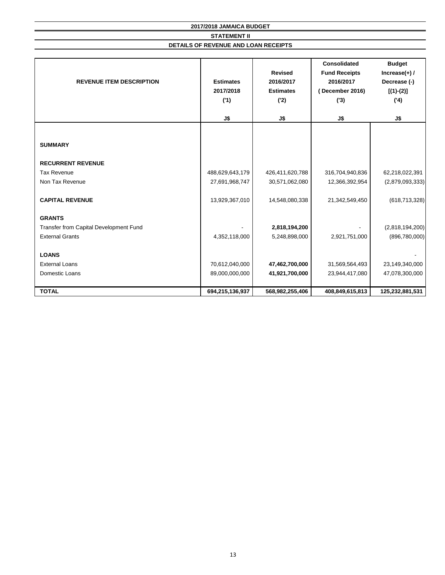| <b>REVENUE ITEM DESCRIPTION</b>        | <b>Estimates</b><br>2017/2018<br>('1) | <b>Revised</b><br>2016/2017<br><b>Estimates</b><br>('2) | <b>Consolidated</b><br><b>Fund Receipts</b><br>2016/2017<br>(December 2016)<br>(3) | <b>Budget</b><br>Increase $(+)$ /<br>Decrease (-)<br>$[(1)-(2)]$<br>(4) |
|----------------------------------------|---------------------------------------|---------------------------------------------------------|------------------------------------------------------------------------------------|-------------------------------------------------------------------------|
|                                        | J\$                                   | J\$                                                     | J\$                                                                                | J\$                                                                     |
|                                        |                                       |                                                         |                                                                                    |                                                                         |
| <b>SUMMARY</b>                         |                                       |                                                         |                                                                                    |                                                                         |
| <b>RECURRENT REVENUE</b>               |                                       |                                                         |                                                                                    |                                                                         |
| <b>Tax Revenue</b>                     | 488,629,643,179                       | 426,411,620,788                                         | 316,704,940,836                                                                    | 62,218,022,391                                                          |
| Non Tax Revenue                        | 27,691,968,747                        | 30,571,062,080                                          | 12,366,392,954                                                                     | (2,879,093,333)                                                         |
| <b>CAPITAL REVENUE</b>                 | 13,929,367,010                        | 14,548,080,338                                          | 21,342,549,450                                                                     | (618, 713, 328)                                                         |
| <b>GRANTS</b>                          |                                       |                                                         |                                                                                    |                                                                         |
| Transfer from Capital Development Fund |                                       | 2,818,194,200                                           |                                                                                    | (2,818,194,200)                                                         |
| <b>External Grants</b>                 | 4,352,118,000                         | 5,248,898,000                                           | 2,921,751,000                                                                      | (896, 780, 000)                                                         |
| <b>LOANS</b>                           |                                       |                                                         |                                                                                    |                                                                         |
| <b>External Loans</b>                  | 70,612,040,000                        | 47,462,700,000                                          | 31,569,564,493                                                                     | 23,149,340,000                                                          |
| Domestic Loans                         | 89,000,000,000                        | 41,921,700,000                                          | 23,944,417,080                                                                     | 47,078,300,000                                                          |
| <b>TOTAL</b>                           | 694,215,136,937                       | 568,982,255,406                                         | 408,849,615,813                                                                    | 125,232,881,531                                                         |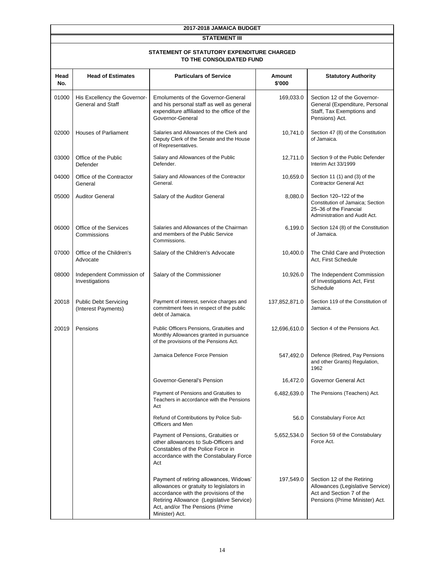#### **STATEMENT III**

| <b>STATEMENT OF STATUTORY EXPENDITURE CHARGED</b> |
|---------------------------------------------------|
| TO THE CONSOLIDATED FUND                          |

| Head<br>No. | <b>Head of Estimates</b>                                 | <b>Particulars of Service</b>                                                                                                                                                                                                 | <b>Amount</b><br>\$'000 | <b>Statutory Authority</b>                                                                                                   |
|-------------|----------------------------------------------------------|-------------------------------------------------------------------------------------------------------------------------------------------------------------------------------------------------------------------------------|-------------------------|------------------------------------------------------------------------------------------------------------------------------|
| 01000       | His Excellency the Governor-<br><b>General and Staff</b> | <b>Emoluments of the Governor-General</b><br>and his personal staff as well as general<br>expenditure affiliated to the office of the<br>Governor-General                                                                     | 169,033.0               | Section 12 of the Governor-<br>General (Expenditure, Personal<br>Staff, Tax Exemptions and<br>Pensions) Act.                 |
| 02000       | <b>Houses of Parliament</b>                              | Salaries and Allowances of the Clerk and<br>Deputy Clerk of the Senate and the House<br>of Representatives.                                                                                                                   | 10,741.0                | Section 47 (8) of the Constitution<br>of Jamaica.                                                                            |
| 03000       | Office of the Public<br>Defender                         | Salary and Allowances of the Public<br>Defender.                                                                                                                                                                              | 12,711.0                | Section 9 of the Public Defender<br>Interim Act 33/1999                                                                      |
| 04000       | Office of the Contractor<br>General                      | Salary and Allowances of the Contractor<br>General.                                                                                                                                                                           | 10,659.0                | Section 11 (1) and (3) of the<br><b>Contractor General Act</b>                                                               |
| 05000       | <b>Auditor General</b>                                   | Salary of the Auditor General                                                                                                                                                                                                 | 8,080.0                 | Section 120-122 of the<br>Constitution of Jamaica; Section<br>25-36 of the Financial<br>Administration and Audit Act.        |
| 06000       | Office of the Services<br>Commissions                    | Salaries and Allowances of the Chairman<br>and members of the Public Service<br>Commissions.                                                                                                                                  | 6,199.0                 | Section 124 (8) of the Constitution<br>of Jamaica.                                                                           |
| 07000       | Office of the Children's<br>Advocate                     | Salary of the Children's Advocate                                                                                                                                                                                             | 10,400.0                | The Child Care and Protection<br>Act, First Schedule                                                                         |
| 08000       | Independent Commission of<br>Investigations              | Salary of the Commissioner                                                                                                                                                                                                    | 10,926.0                | The Independent Commission<br>of Investigations Act, First<br>Schedule                                                       |
| 20018       | <b>Public Debt Servicing</b><br>(Interest Payments)      | Payment of interest, service charges and<br>commitment fees in respect of the public<br>debt of Jamaica.                                                                                                                      | 137,852,871.0           | Section 119 of the Constitution of<br>Jamaica.                                                                               |
| 20019       | Pensions                                                 | Public Officers Pensions, Gratuities and<br>Monthly Allowances granted in pursuance<br>of the provisions of the Pensions Act.                                                                                                 | 12,696,610.0            | Section 4 of the Pensions Act.                                                                                               |
|             |                                                          | Jamaica Defence Force Pension                                                                                                                                                                                                 | 547,492.0               | Defence (Retired, Pay Pensions<br>and other Grants) Regulation,<br>1962                                                      |
|             |                                                          | Governor-General's Pension                                                                                                                                                                                                    | 16,472.0                | Governor General Act                                                                                                         |
|             |                                                          | Payment of Pensions and Gratuities to<br>Teachers in accordance with the Pensions<br>Act                                                                                                                                      | 6,482,639.0             | The Pensions (Teachers) Act.                                                                                                 |
|             |                                                          | Refund of Contributions by Police Sub-<br>Officers and Men                                                                                                                                                                    | 56.0                    | <b>Constabulary Force Act</b>                                                                                                |
|             |                                                          | Payment of Pensions, Gratuities or<br>other allowances to Sub-Officers and<br>Constables of the Police Force in<br>accordance with the Constabulary Force<br>Act                                                              | 5,652,534.0             | Section 59 of the Constabulary<br>Force Act.                                                                                 |
|             |                                                          | Payment of retiring allowances, Widows'<br>allowances or gratuity to legislators in<br>accordance with the provisions of the<br>Retiring Allowance (Legislative Service)<br>Act, and/or The Pensions (Prime<br>Minister) Act. | 197,549.0               | Section 12 of the Retiring<br>Allowances (Legislative Service)<br>Act and Section 7 of the<br>Pensions (Prime Minister) Act. |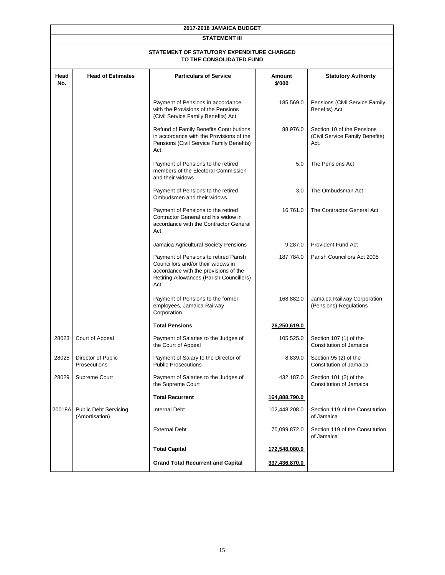| 2017-2018 JAMAICA BUDGET |                                                |                                                                                                                                                                         |                         |                                                                       |  |  |  |  |
|--------------------------|------------------------------------------------|-------------------------------------------------------------------------------------------------------------------------------------------------------------------------|-------------------------|-----------------------------------------------------------------------|--|--|--|--|
|                          | <b>STATEMENT III</b>                           |                                                                                                                                                                         |                         |                                                                       |  |  |  |  |
|                          |                                                | STATEMENT OF STATUTORY EXPENDITURE CHARGED<br>TO THE CONSOLIDATED FUND                                                                                                  |                         |                                                                       |  |  |  |  |
| Head<br>No.              | <b>Head of Estimates</b>                       | <b>Particulars of Service</b>                                                                                                                                           | <b>Amount</b><br>\$'000 | <b>Statutory Authority</b>                                            |  |  |  |  |
|                          |                                                | Payment of Pensions in accordance<br>with the Provisions of the Pensions<br>(Civil Service Family Benefits) Act.                                                        | 185,569.0               | Pensions (Civil Service Family<br>Benefits) Act.                      |  |  |  |  |
|                          |                                                | Refund of Family Benefits Contributions<br>in accordance with the Provisions of the<br>Pensions (Civil Service Family Benefits)<br>Act.                                 | 88,976.0                | Section 10 of the Pensions<br>(Civil Service Family Benefits)<br>Act. |  |  |  |  |
|                          |                                                | Payment of Pensions to the retired<br>members of the Electoral Commission<br>and their widows                                                                           | 5.0                     | The Pensions Act                                                      |  |  |  |  |
|                          |                                                | Payment of Pensions to the retired<br>Ombudsmen and their widows.                                                                                                       | 3.0                     | The Ombudsman Act                                                     |  |  |  |  |
|                          |                                                | Payment of Pensions to the retired<br>Contractor General and his widow in<br>accordance with the Contractor General<br>Act.                                             | 16,761.0                | The Contractor General Act                                            |  |  |  |  |
|                          |                                                | Jamaica Agricultural Society Pensions                                                                                                                                   | 9,287.0                 | <b>Provident Fund Act</b>                                             |  |  |  |  |
|                          |                                                | Payment of Pensions to retired Parish<br>Councillors and/or their widows in<br>accordance with the provisions of the<br>Retiring Allowances (Parish Councillors)<br>Act | 187,784.0               | Parish Councillors Act 2005                                           |  |  |  |  |
|                          |                                                | Payment of Pensions to the former<br>employees, Jamaica Railway<br>Corporation.                                                                                         | 168,882.0               | Jamaica Railway Corporation<br>(Pensions) Regulations                 |  |  |  |  |
|                          |                                                | <b>Total Pensions</b>                                                                                                                                                   | 26,250,619.0            |                                                                       |  |  |  |  |
| 28023                    | Court of Appeal                                | Payment of Salaries to the Judges of<br>the Court of Appeal                                                                                                             | 105,525.0               | Section 107 (1) of the<br>Constitution of Jamaica                     |  |  |  |  |
| 28025                    | Director of Public<br><b>Prosecutions</b>      | Payment of Salary to the Director of<br><b>Public Prosecutions</b>                                                                                                      | 8,839.0                 | Section 95 (2) of the<br>Constitution of Jamaica                      |  |  |  |  |
| 28029                    | Supreme Court                                  | Payment of Salaries to the Judges of<br>the Supreme Court                                                                                                               | 432,187.0               | Section 101 (2) of the<br>Constitution of Jamaica                     |  |  |  |  |
|                          |                                                | <b>Total Recurrent</b>                                                                                                                                                  | 164,888,790.0           |                                                                       |  |  |  |  |
| 20018A                   | <b>Public Debt Servicing</b><br>(Amortisation) | <b>Internal Debt</b>                                                                                                                                                    | 102,448,208.0           | Section 119 of the Constitution<br>of Jamaica                         |  |  |  |  |
|                          |                                                | <b>External Debt</b>                                                                                                                                                    | 70,099,872.0            | Section 119 of the Constitution<br>of Jamaica                         |  |  |  |  |
|                          |                                                | <b>Total Capital</b>                                                                                                                                                    | 172,548,080.0           |                                                                       |  |  |  |  |
|                          |                                                | <b>Grand Total Recurrent and Capital</b>                                                                                                                                | 337,436,870.0           |                                                                       |  |  |  |  |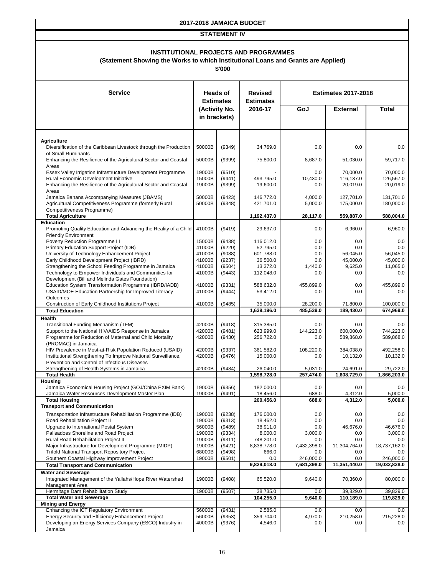#### **STATEMENT IV**

#### **INSTITUTIONAL PROJECTS AND PROGRAMMES**

#### **(Statement Showing the Works to which Institutional Loans and Grants are Applied)**

| <b>Service</b>                                                                                                 | <b>Heads of</b><br><b>Estimates</b> |                               | <b>Revised</b><br><b>Estimates</b> |                    | <b>Estimates 2017-2018</b> |                       |
|----------------------------------------------------------------------------------------------------------------|-------------------------------------|-------------------------------|------------------------------------|--------------------|----------------------------|-----------------------|
|                                                                                                                |                                     | (Activity No.<br>in brackets) | 2016-17                            | GoJ                | <b>External</b>            | <b>Total</b>          |
| <b>Agriculture</b>                                                                                             |                                     |                               |                                    |                    |                            |                       |
| Diversification of the Caribbean Livestock through the Production<br>of Small Ruminants                        | 50000B                              | (9349)                        | 34,769.0                           | 0.0                | 0.0                        | 0.0                   |
| Enhancing the Resilience of the Agricultural Sector and Coastal<br>Areas                                       | 50000B                              | (9399)                        | 75,800.0                           | 8,687.0            | 51,030.0                   | 59,717.0              |
| Essex Valley Irrigation Infrastructure Development Programme<br>Rural Economic Development Initiative          | 19000B<br>15000B                    | (9510)<br>(9441)              | 493,795.0                          | 0.0<br>10,430.0    | 70,000.0<br>116,137.0      | 70,000.0<br>126,567.0 |
| Enhancing the Resilience of the Agricultural Sector and Coastal                                                | 19000B                              | (9399)                        | 19,600.0                           | 0.0                | 20,019.0                   | 20,019.0              |
| Areas<br>Jamaica Banana Accompanying Measures (JBAMS)                                                          | 50000B                              | (9423)                        | 146.772.0                          | 4,000.0            | 127,701.0                  | 131,701.0             |
| Agricultural Competitiveness Programme (formerly Rural<br>Competitiveness Programme)                           | 50000B                              | (9348)                        | 421,701.0                          | 5,000.0            | 175,000.0                  | 180,000.0             |
| <b>Total Agriculture</b>                                                                                       |                                     |                               | 1,192,437.0                        | 28,117.0           | 559,887.0                  | 588,004.0             |
| <b>Education</b>                                                                                               |                                     |                               |                                    |                    |                            |                       |
| Promoting Quality Education and Advancing the Reality of a Child<br><b>Friendly Environment</b>                | 41000B                              | (9419)                        | 29,637.0                           | 0.0                | 6,960.0                    | 6,960.0               |
| Poverty Reduction Programme III                                                                                | 15000B                              | (9438)                        | 116,012.0                          | 0.0                | 0.0                        | 0.0                   |
| Primary Education Support Project (IDB)<br>University of Technology Enhancement Project                        | 41000B                              | (9220)                        | 52,795.0                           | 0.0                | 0.0<br>56,045.0            | 0.0<br>56.045.0       |
| Early Childhood Development Project (IBRD)                                                                     | 41000B<br>41000B                    | (9088)<br>(9237)              | 601,788.0<br>36,500.0              | 0.0<br>0.0         | 45,000.0                   | 45,000.0              |
| Strengthening the School Feeding Programme in Jamaica                                                          | 41000B                              | (9504)                        | 13,372.0                           | 1,440.0            | 9,625.0                    | 11,065.0              |
| Technology to Empower Individuals and Communities for                                                          | 41000B                              | (9443)                        | 112,048.0                          | 0.0                | 0.0                        | 0.0                   |
| Development (Bill and Melinda Gates Foundation)                                                                |                                     |                               |                                    |                    |                            |                       |
| Education System Transformation Programme (IBRD/IADB)<br>USAID/MOE Education Partnership for Improved Literacy | 41000B<br>41000B                    | (9331)<br>(9444)              | 588,632.0                          | 455,899.0<br>0.0   | 0.0<br>0.0                 | 455,899.0<br>0.0      |
| Outcomes                                                                                                       |                                     |                               | 53,412.0                           |                    |                            |                       |
| Construction of Early Childhood Institutions Project                                                           | 41000B                              | (9485)                        | 35,000.0                           | 28,200.0           | 71,800.0                   | 100,000.0             |
| <b>Total Education</b>                                                                                         |                                     |                               | 1,639,196.0                        | 485,539.0          | 189,430.0                  | 674,969.0             |
| <b>Health</b>                                                                                                  |                                     |                               |                                    |                    |                            |                       |
| Transitional Funding Mechanism (TFM)<br>Support to the National HIV/AIDS Response in Jamaica                   | 42000B<br>42000B                    | (9418)<br>(9481)              | 315,385.0<br>623,999.0             | 0.0<br>144,223.0   | 0.0<br>600,000.0           | 0.0<br>744,223.0      |
| Programme for Reduction of Maternal and Child Mortality                                                        | 42000B                              | (9430)                        | 256,722.0                          | 0.0                | 589,868.0                  | 589,868.0             |
| (PROMAC) in Jamaica                                                                                            |                                     |                               |                                    |                    |                            |                       |
| HIV Prevalence in Most-at-Risk Population Reduced (USAID)                                                      | 42000B                              | (9337)                        | 361,582.0                          | 108,220.0          | 384,038.0                  | 492,258.0             |
| Institutional Strengthening To Improve National Surveillance,                                                  | 42000B                              | (9476)                        | 15,000.0                           | 0.0                | 10,132.0                   | 10,132.0              |
| Prevention and Control of Infectious Diseases<br>Strengthening of Health Systems in Jamaica                    | 42000B                              | (9484)                        | 26,040.0                           | 5,031.0            | 24,691.0                   | 29,722.0              |
| <b>Total Health</b>                                                                                            |                                     |                               | 1,598,728.0                        | 257,474.0          | 1,608,729.0                | 1,866,203.0           |
| <b>Housing</b>                                                                                                 |                                     |                               |                                    |                    |                            |                       |
| Jamaica Economical Housing Project (GOJ/China EXIM Bank)                                                       | 19000B                              | (9356)                        | 182,000.0                          | 0.0                | 0.0                        | 0.0                   |
| Jamaica Water Resources Development Master Plan<br><b>Total Housing</b>                                        | 19000B                              | (9491)                        | 18,456.0                           | 688.0<br>688.0     | 4,312.0<br>4,312.0         | 5,000.0<br>5,000.0    |
| <b>Transport and Communication</b>                                                                             |                                     |                               | 200,456.0                          |                    |                            |                       |
| Transportation Infrastructure Rehabilitation Programme (IDB)                                                   | 19000B                              | (9238)                        | 176,000.0                          | 0.0                | 0.0                        | 0.0                   |
| <b>Road Rehabilitation Project II</b>                                                                          | 19000B                              | (9313)                        | 18,462.0                           | 0.0                | 0.0                        | $0.0\,$               |
| Upgrade to International Postal System                                                                         | 56000B                              | (9489)                        | 38,911.0                           | 0.0                | 46,676.0                   | 46,676.0              |
| Palisadoes Shoreline and Road Project                                                                          | 19000B                              | (9334)                        | 8,000.0                            | 3,000.0            | 0.0                        | 3,000.0               |
| Rural Road Rehabilitation Project II<br>Major Infrastructure for Development Programme (MIDP)                  | 19000B<br>19000B                    | (9311)<br>(9421)              | 748,201.0<br>8,838,778.0           | 0.0<br>7,432,398.0 | 0.0<br>11,304,764.0        | 0.0<br>18,737,162.0   |
| <b>Trifold National Transport Repository Project</b>                                                           | 68000B                              | (9498)                        | 666.0                              | 0.0                | 0.0                        | 0.0                   |
| Southern Coastal Highway Improvement Project                                                                   | 19000B                              | (9501)                        | 0.0                                | 246,000.0          | $0.0\,$                    | 246,000.0             |
| <b>Total Transport and Communication</b>                                                                       |                                     |                               | 9,829,018.0                        | 7,681,398.0        | 11,351,440.0               | 19,032,838.0          |
| <b>Water and Sewerage</b><br>Integrated Management of the Yallahs/Hope River Watershed<br>Management Area      | 19000B                              | (9408)                        | 65,520.0                           | 9,640.0            | 70,360.0                   | 80,000.0              |
| Hermitage Dam Rehabilitation Study                                                                             | 19000B                              | (9507)                        | 38,735.0                           | 0.0                | 39,829.0                   | 39,829.0              |
| <b>Total Water and Sewerage</b>                                                                                |                                     |                               | 104,255.0                          | 9,640.0            | 110,189.0                  | 119,829.0             |
| <b>Mining and Energy</b><br>Enhancing the ICT Regulatory Environment                                           | 56000B                              | (9431)                        | 2,585.0                            | 0.0                | 0.0                        | 0.0                   |
| Energy Security and Efficiency Enhancement Project                                                             | 56000B                              | (9353)                        | 359,704.0                          | 4,970.0            | 210,258.0                  | 215,228.0             |
| Developing an Energy Services Company (ESCO) Industry in                                                       | 40000B                              | (9376)                        | 4,546.0                            | 0.0                | 0.0                        | 0.0                   |
| Jamaica                                                                                                        |                                     |                               |                                    |                    |                            |                       |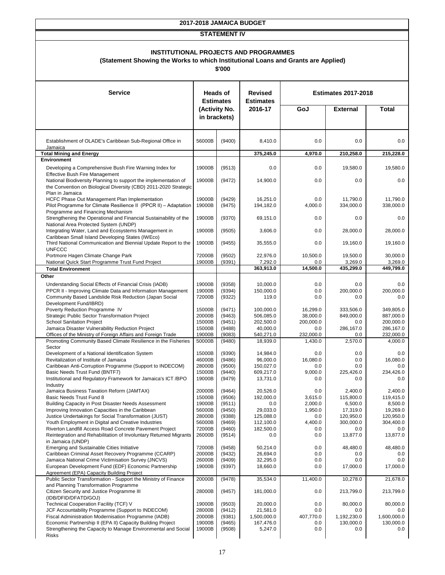#### **STATEMENT IV**

#### **INSTITUTIONAL PROJECTS AND PROGRAMMES**

#### **(Statement Showing the Works to which Institutional Loans and Grants are Applied)**

| <b>Service</b>                                                                                                                                  | <b>Heads of</b><br><b>Estimates</b> |                  | <b>Revised</b><br><b>Estimates</b> |                      | <b>Estimates 2017-2018</b> |                        |
|-------------------------------------------------------------------------------------------------------------------------------------------------|-------------------------------------|------------------|------------------------------------|----------------------|----------------------------|------------------------|
|                                                                                                                                                 |                                     | (Activity No.    | 2016-17                            | GoJ                  | <b>External</b>            | <b>Total</b>           |
|                                                                                                                                                 | in brackets)                        |                  |                                    |                      |                            |                        |
| Establishment of OLADE's Caribbean Sub-Regional Office in                                                                                       | 56000B                              | (9400)           | 8.410.0                            | 0.0                  | 0.0                        | 0.0                    |
| Jamaica<br><b>Total Mining and Energy</b>                                                                                                       |                                     |                  | 375,245.0                          | 4,970.0              | 210,258.0                  | 215,228.0              |
| <b>Environment</b>                                                                                                                              |                                     |                  |                                    |                      |                            |                        |
| Developing a Comprehensive Bush Fire Warning Index for<br><b>Effective Bush Fire Management</b>                                                 | 19000B                              | (9513)           | 0.0                                | 0.0                  | 19,580.0                   | 19,580.0               |
| National Biodiversity Planning to support the implementation of<br>the Convention on Biological Diversity (CBD) 2011-2020 Strategic             | 19000B                              | (9472)           | 14,900.0                           | 0.0                  | 0.0                        | 0.0                    |
| Plan in Jamaica<br>HCFC Phase Out Management Plan Implementation<br>Pilot Programme for Climate Resilience II (PPCR II) - Adaptation            | 19000B<br>19000B                    | (9429)<br>(9475) | 16,251.0<br>194,182.0              | 0.0<br>4,000.0       | 11,790.0<br>334,000.0      | 11,790.0<br>338,000.0  |
| Programme and Financing Mechanism<br>Strengthening the Operational and Financial Sustainability of the<br>National Area Protected System (UNDP) | 19000B                              | (9370)           | 69,151.0                           | 0.0                  | 0.0                        | 0.0                    |
| Integrating Water, Land and Ecosystems Management in<br>Caribbean Small Island Developing States (IWEco)                                        | 19000B                              | (9505)           | 3,606.0                            | 0.0                  | 28,000.0                   | 28,000.0               |
| Third National Communication and Biennial Update Report to the<br><b>UNFCCC</b>                                                                 | 19000B                              | (9455)           | 35,555.0                           | 0.0                  | 19,160.0                   | 19,160.0               |
| Portmore Hagen Climate Change Park<br>National Quick Start Programme Trust Fund Project                                                         | 72000B<br>19000B                    | (9502)<br>(9391) | 22,976.0<br>7,292.0                | 10,500.0<br>0.0      | 19,500.0<br>3,269.0        | 30,000.0<br>3,269.0    |
| <b>Total Environment</b>                                                                                                                        |                                     |                  | 363,913.0                          | 14,500.0             | 435,299.0                  | 449,799.0              |
| Other                                                                                                                                           |                                     |                  |                                    |                      |                            |                        |
| Understanding Social Effects of Financial Crisis (IADB)                                                                                         | 19000B                              | (9358)           | 10,000.0                           | 0.0                  | 0.0                        | 0.0                    |
| PPCR II - Improving Climate Data and Information Management                                                                                     | 19000B                              | (9394)           | 150,000.0                          | 0.0                  | 200,000.0                  | 200,000.0              |
| Community Based Landslide Risk Reduction (Japan Social<br>Development Fund/IBRD)                                                                | 72000B                              | (9322)           | 119.0                              | 0.0                  | 0.0                        | 0.0                    |
| Poverty Reduction Programme IV                                                                                                                  | 15000B                              | (9471)           | 100,000.0                          | 16,299.0             | 333,506.0                  | 349,805.0              |
| Strategic Public Sector Transformation Project                                                                                                  | 20000B                              | (9463)           | 506,085.0                          | 38,000.0             | 849,000.0                  | 887,000.0              |
| <b>School Sanitation Project</b>                                                                                                                | 15000B                              | (9451)           | 202,500.0                          | 200,000.0            | 0.0                        | 200,000.0              |
| Jamaica Disaster Vulnerability Reduction Project                                                                                                | 15000B                              | (9488)           | 40,000.0                           | 0.0                  | 286,167.0                  | 286,167.0              |
| Offices of the Ministry of Foreign Affairs and Foreign Trade<br>Promoting Community Based Climate Resilience in the Fisheries                   | 19000B<br>50000B                    | (9083)<br>(9480) | 540,271.0<br>18,939.0              | 232,000.0<br>1,430.0 | 0.0<br>2,570.0             | 232,000.0<br>4,000.0   |
| Sector                                                                                                                                          |                                     |                  |                                    |                      |                            |                        |
| Development of a National Identification System                                                                                                 | 15000B                              | (9390)           | 14.984.0                           | 0.0                  | 0.0                        | $0.0\,$                |
| Revitalization of Institute of Jamaica                                                                                                          | 46000B                              | (9486)           | 96,000.0                           | 16,080.0             | 0.0                        | 16,080.0               |
| Caribbean Anti-Corruption Programme (Support to INDECOM)                                                                                        | 28000B                              | (9500)           | 150,027.0                          | 0.0                  | 0.0                        | $0.0\,$                |
| Basic Needs Trust Fund (BNTF7)                                                                                                                  | 15000B                              | (9440)           | 609,217.0                          | 9,000.0              | 225,426.0                  | 234,426.0              |
| Institutional and Regulatory Framework for Jamaica's ICT/BPO<br>Industry                                                                        | 19000B                              | (9479)           | 13,731.0                           | 0.0                  | 0.0                        | $0.0\,$                |
| Jamaica Business Taxation Reform (JAMTAX)                                                                                                       | 20000B                              | (9464)           | 20,526.0                           | 0.0                  | 2,400.0                    | 2,400.0                |
| Basic Needs Trust Fund 8                                                                                                                        | 15000B                              | (9506)           | 192,000.0                          | 3,615.0              | 115,800.0                  | 119,415.0              |
| Building Capacity in Post Disaster Needs Assessment                                                                                             | 19000B                              | (9511)           | 0.0                                | 2,000.0              | 6,500.0                    | 8,500.0                |
| Improving Innovation Capacities in the Caribbean                                                                                                | 56000B                              | (9450)           | 29,033.0                           | 1,950.0              | 17,319.0                   | 19,269.0               |
| Justice Undertakings for Social Transformation (JUST)<br>Youth Employment in Digital and Creative Industries                                    | 28000B<br>56000B                    | (9388)<br>(9469) | 125,088.0<br>112,100.0             | $0.0\,$<br>4,400.0   | 120,950.0<br>300,000.0     | 120,950.0<br>304,400.0 |
| Riverton Landfill Access Road Concrete Pavement Project                                                                                         | 72000B                              | (9460)           | 182,500.0                          | 0.0                  | 0.0                        | 0.0                    |
| Reintegration and Rehabilitation of Involuntary Returned Migrants<br>in Jamaica (UNDP)                                                          | 26000B                              | (9514)           | 0.0                                | 0.0                  | 13,877.0                   | 13,877.0               |
| Emerging and Sustainable Cities Initiative                                                                                                      | 72000B                              | (9458)           | 50,214.0                           | 0.0                  | 48,480.0                   | 48,480.0               |
| Caribbean Criminal Asset Recovery Programme (CCARP)                                                                                             | 20000B                              | (9432)           | 26,694.0                           | 0.0                  | 0.0                        | $0.0\,$                |
| Jamaica National Crime Victimisation Survey (JNCVS)                                                                                             | 26000B                              | (9409)           | 32,295.0                           | 0.0                  | 0.0                        | 0.0                    |
| European Development Fund (EDF) Economic Partnership<br>Agreement (EPA) Capacity Building Project                                               | 19000B                              | (9397)           | 18,660.0                           | 0.0                  | 17,000.0                   | 17,000.0               |
| Public Sector Transformation - Support the Ministry of Finance                                                                                  | 20000B                              | (9478)           | 35,534.0                           | 11,400.0             | 10,278.0                   | 21,678.0               |
| and Planning Transformation Programme<br>Citizen Security and Justice Programme III                                                             | 28000B                              | (9457)           | 181,000.0                          | 0.0                  | 213,799.0                  | 213,799.0              |
| (IDB/DFID/DFATD/GOJ)<br>Technical Cooperation Facility (TCF) V                                                                                  | 19000B                              |                  | 20,000.0                           | 0.0                  | 80,000.0                   | 80,000.0               |
| JCF Accountability Programme (Support to INDECOM)                                                                                               | 28000B                              | (9503)<br>(9412) | 21,581.0                           | 0.0                  | 0.0                        | 0.0                    |
| Fiscal Administration Modernisation Programme (IADB)                                                                                            | 20000B                              | (9381)           | 1,500,000.0                        | 407,770.0            | 1,192,230.0                | 1,600,000.0            |
| Economic Partnership II (EPA II) Capacity Building Project                                                                                      | 19000B                              | (9465)           | 167,476.0                          | 0.0                  | 130,000.0                  | 130,000.0              |
| Strengthening the Capacity to Manage Environmental and Social<br><b>Risks</b>                                                                   | 19000B                              | (9508)           | 5,247.0                            | 0.0                  | 0.0                        | 0.0                    |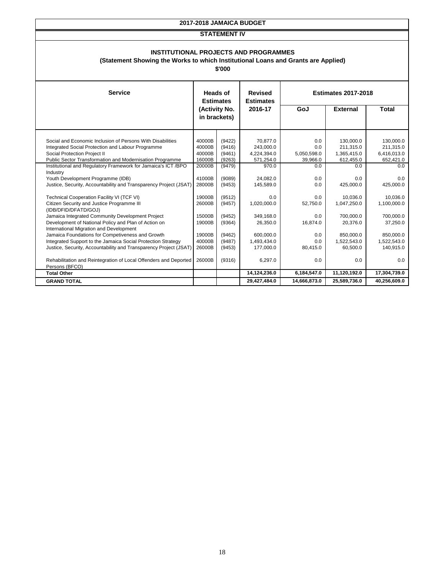#### **STATEMENT IV**

#### **INSTITUTIONAL PROJECTS AND PROGRAMMES**

#### **(Statement Showing the Works to which Institutional Loans and Grants are Applied)**

| <b>Service</b>                                                    | <b>Heads of</b><br><b>Estimates</b> |               | <b>Revised</b><br><b>Estimates</b> |              | <b>Estimates 2017-2018</b> |              |
|-------------------------------------------------------------------|-------------------------------------|---------------|------------------------------------|--------------|----------------------------|--------------|
|                                                                   |                                     | (Activity No. | 2016-17                            | GoJ          | <b>External</b>            | <b>Total</b> |
|                                                                   |                                     | in brackets)  |                                    |              |                            |              |
|                                                                   |                                     |               |                                    |              |                            |              |
| Social and Economic Inclusion of Persons With Disabilities        | 40000B                              | (9422)        | 70,877.0                           | 0.0          | 130,000.0                  | 130,000.0    |
| Integrated Social Protection and Labour Programme                 | 40000B                              | (9416)        | 243,000.0                          | 0.0          | 211,315.0                  | 211,315.0    |
| Social Protection Project II                                      | 40000B                              | (9461)        | 4,224,394.0                        | 5,050,598.0  | 1,365,415.0                | 6,416,013.0  |
| <b>Public Sector Transformation and Modernisation Programme</b>   | 16000B                              | (9263)        | 571,254.0                          | 39,966.0     | 612,455.0                  | 652,421.0    |
| Institutional and Regulatory Framework for Jamaica's ICT /BPO     | 20000B                              | (9479)        | 970.0                              | 0.0          | 0.0                        | 0.0          |
| Industry                                                          |                                     |               |                                    |              |                            |              |
| Youth Development Programme (IDB)                                 | 41000B                              | (9089)        | 24,082.0                           | 0.0          | 0.0                        | 0.0          |
| Justice, Security, Accountability and Transparency Project (JSAT) | 28000B                              | (9453)        | 145,589.0                          | 0.0          | 425,000.0                  | 425,000.0    |
| Technical Cooperation Facility VI (TCF VI)                        | 19000B                              | (9512)        | 0.0                                | 0.0          | 10,036.0                   | 10,036.0     |
| Citizen Security and Justice Programme III                        | 26000B                              | (9457)        | 1,020,000.0                        | 52,750.0     | 1,047,250.0                | 1,100,000.0  |
| (IDB/DFID/DFATD/GOJ)                                              |                                     |               |                                    |              |                            |              |
| Jamaica Integrated Community Development Project                  | 15000B                              | (9452)        | 349,168.0                          | 0.0          | 700,000.0                  | 700,000.0    |
| Development of National Policy and Plan of Action on              | 19000B                              | (9364)        | 26,350.0                           | 16,874.0     | 20,376.0                   | 37,250.0     |
| International Migration and Development                           |                                     |               |                                    |              |                            |              |
| Jamaica Foundations for Competiveness and Growth                  | 19000B                              | (9462)        | 600,000.0                          | 0.0          | 850,000.0                  | 850,000.0    |
| Integrated Support to the Jamaica Social Protection Strategy      | 40000B                              | (9487)        | 1,493,434.0                        | 0.0          | 1,522,543.0                | 1,522,543.0  |
| Justice, Security, Accountability and Transparency Project (JSAT) | 26000B                              | (9453)        | 177,000.0                          | 80,415.0     | 60,500.0                   | 140,915.0    |
| Rehabilitation and Reintegration of Local Offenders and Deported  | 26000B                              | (9316)        | 6,297.0                            | 0.0          | 0.0                        | 0.0          |
| Persons (BFCO)                                                    |                                     |               |                                    |              |                            |              |
| <b>Total Other</b>                                                |                                     |               | 14,124,236.0                       | 6,184,547.0  | 11,120,192.0               | 17,304,739.0 |
| <b>GRAND TOTAL</b>                                                |                                     |               | 29,427,484.0                       | 14,666,873.0 | 25,589,736.0               | 40,256,609.0 |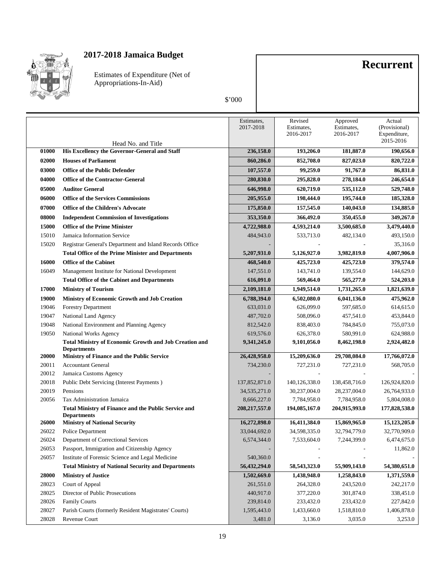

Estimates of Expenditure (Net of Appropriations-In-Aid)

#### \$'000

**Recurrent**

|       |                                                                                                                       | Estimates,<br>2017-2018 | Revised<br>Estimates,<br>2016-2017 | Approved<br>Estimates,<br>2016-2017 | Actual<br>(Provisional)<br>Expenditure,<br>2015-2016 |
|-------|-----------------------------------------------------------------------------------------------------------------------|-------------------------|------------------------------------|-------------------------------------|------------------------------------------------------|
| 01000 | Head No. and Title<br>His Excellency the Governor-General and Staff                                                   | 236,158.0               | 193,206.0                          | 181,887.0                           | 190,656.0                                            |
| 02000 | <b>Houses of Parliament</b>                                                                                           | 860,286.0               | 852,708.0                          | 827,023.0                           | 820,722.0                                            |
| 03000 | <b>Office of the Public Defender</b>                                                                                  | 107,557.0               | 99,259.0                           | 91,767.0                            | 86,831.0                                             |
| 04000 |                                                                                                                       |                         |                                    |                                     |                                                      |
|       | <b>Office of the Contractor-General</b>                                                                               | 280,830.0               | 295,828.0                          | 278,184.0                           | 246,654.0                                            |
| 05000 | <b>Auditor General</b>                                                                                                | 646,998.0               | 620,719.0                          | 535,112.0                           | 529,748.0                                            |
| 06000 | <b>Office of the Services Commissions</b>                                                                             | 205,955.0               | 198,444.0                          | 195,744.0                           | 185,328.0                                            |
| 07000 | <b>Office of the Children's Advocate</b>                                                                              | 175,850.0               | 157,545.0                          | 140,043.0                           | 134,885.0                                            |
| 08000 | <b>Independent Commission of Investigations</b>                                                                       | 353,350.0               | 366,492.0                          | 350,455.0                           | 349,267.0                                            |
| 15000 | <b>Office of the Prime Minister</b>                                                                                   | 4,722,988.0             | 4,593,214.0                        | 3,500,685.0                         | 3,479,440.0                                          |
| 15010 | Jamaica Information Service                                                                                           | 484,943.0               | 533,713.0                          | 482,134.0                           | 493,150.0                                            |
| 15020 | Registrar General's Department and Island Records Office<br><b>Total Office of the Prime Minister and Departments</b> | 5,207,931.0             | 5,126,927.0                        | 3,982,819.0                         | 35,316.0<br>4,007,906.0                              |
| 16000 | <b>Office of the Cabinet</b>                                                                                          | 468,540.0               | 425,723.0                          | 425,723.0                           | 379,574.0                                            |
| 16049 | Management Institute for National Development                                                                         | 147,551.0               | 143,741.0                          | 139,554.0                           | 144,629.0                                            |
|       | <b>Total Office of the Cabinet and Departments</b>                                                                    | 616,091.0               | 569,464.0                          | 565,277.0                           | 524,203.0                                            |
| 17000 | <b>Ministry of Tourism</b>                                                                                            | 2,109,181.0             | 1,949,514.0                        | 1,731,265.0                         | 1,821,639.0                                          |
| 19000 | Ministry of Economic Growth and Job Creation                                                                          | 6,788,394.0             | 6,502,080.0                        | 6,041,136.0                         | 475,962.0                                            |
| 19046 | <b>Forestry Department</b>                                                                                            | 633,031.0               | 626,099.0                          | 597,685.0                           | 614,615.0                                            |
| 19047 | National Land Agency                                                                                                  | 487,702.0               | 508,096.0                          | 457,541.0                           | 453,844.0                                            |
| 19048 | National Environment and Planning Agency                                                                              | 812,542.0               | 838,403.0                          | 784,845.0                           | 755,073.0                                            |
| 19050 | National Works Agency                                                                                                 | 619,576.0               | 626,378.0                          | 580,991.0                           | 624,988.0                                            |
|       | <b>Total Ministry of Economic Growth and Job Creation and</b><br><b>Departments</b>                                   | 9,341,245.0             | 9,101,056.0                        | 8,462,198.0                         | 2,924,482.0                                          |
| 20000 | Ministry of Finance and the Public Service                                                                            | 26,428,958.0            | 15,209,636.0                       | 29,708,084.0                        | 17,766,072.0                                         |
| 20011 | <b>Accountant General</b>                                                                                             | 734,230.0               | 727,231.0                          | 727,231.0                           | 568,705.0                                            |
| 20012 | Jamaica Customs Agency                                                                                                |                         |                                    |                                     |                                                      |
| 20018 | Public Debt Servicing (Interest Payments)                                                                             | 137,852,871.0           | 140, 126, 338.0                    | 138,458,716.0                       | 126,924,820.0                                        |
| 20019 | Pensions                                                                                                              | 34, 535, 271.0          | 30,237,004.0                       | 28,237,004.0                        | 26,764,933.0                                         |
| 20056 | Tax Administration Jamaica                                                                                            | 8,666,227.0             | 7,784,958.0                        | 7,784,958.0                         | 5,804,008.0                                          |
|       | Total Ministry of Finance and the Public Service and<br><b>Departments</b>                                            | 208, 217, 557.0         | 194,085,167.0                      | 204,915,993.0                       | 177,828,538.0                                        |
| 26000 | <b>Ministry of National Security</b>                                                                                  | 16,272,898.0            | 16,411,384.0                       | 15,869,965.0                        | 15,123,205.0                                         |
| 26022 | Police Department                                                                                                     | 33,044,692.0            | 34,598,335.0                       | 32,794,779.0                        | 32,770,909.0                                         |
| 26024 | Department of Correctional Services                                                                                   | 6,574,344.0             | 7,533,604.0                        | 7,244,399.0                         | 6,474,675.0                                          |
| 26053 | Passport, Immigration and Citizenship Agency                                                                          |                         |                                    |                                     | 11,862.0                                             |
| 26057 | Institute of Forensic Science and Legal Medicine                                                                      | 540,360.0               |                                    |                                     |                                                      |
|       | <b>Total Ministry of National Security and Departments</b>                                                            | 56,432,294.0            | 58,543,323.0                       | 55,909,143.0                        | 54,380,651.0                                         |
| 28000 | <b>Ministry of Justice</b>                                                                                            | 1,502,669.0             | 1,438,948.0                        | 1,258,843.0                         | 1,371,559.0                                          |
| 28023 | Court of Appeal                                                                                                       | 261,551.0               | 264,328.0                          | 243,520.0                           | 242,217.0                                            |
| 28025 | Director of Public Prosecutions                                                                                       | 440,917.0               | 377,220.0                          | 301,874.0                           | 338,451.0                                            |
| 28026 | <b>Family Courts</b>                                                                                                  | 239,814.0               | 233,432.0                          | 233,432.0                           | 227,842.0                                            |
| 28027 | Parish Courts (formerly Resident Magistrates' Courts)                                                                 | 1,595,443.0             | 1,433,660.0                        | 1,518,810.0                         | 1,406,878.0                                          |
| 28028 | Revenue Court                                                                                                         | 3,481.0                 | 3,136.0                            | 3,035.0                             | 3,253.0                                              |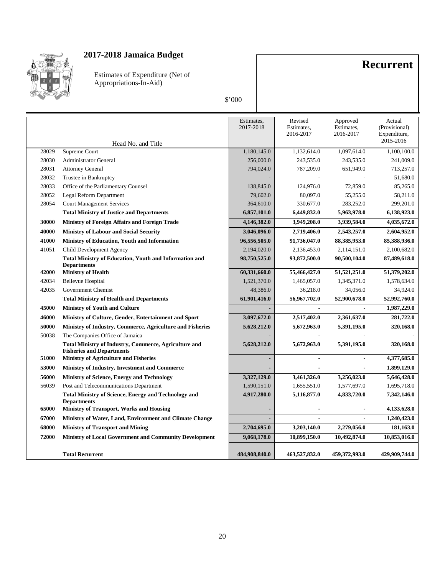

Estimates of Expenditure (Net of Appropriations-In-Aid)

#### \$'000

**Recurrent**

|       | Head No. and Title                                                                               | Estimates,<br>2017-2018 | Revised<br>Estimates,<br>2016-2017 | Approved<br>Estimates.<br>2016-2017 | Actual<br>(Provisional)<br>Expenditure,<br>2015-2016 |
|-------|--------------------------------------------------------------------------------------------------|-------------------------|------------------------------------|-------------------------------------|------------------------------------------------------|
| 28029 | Supreme Court                                                                                    | 1,180,145.0             | 1,132,614.0                        | 1,097,614.0                         | 1,100,100.0                                          |
| 28030 | <b>Administrator General</b>                                                                     | 256,000.0               | 243,535.0                          | 243,535.0                           | 241,009.0                                            |
| 28031 | <b>Attorney General</b>                                                                          | 794,024.0               | 787,209.0                          | 651,949.0                           | 713,257.0                                            |
| 28032 | Trustee in Bankruptcy                                                                            |                         |                                    |                                     | 51,680.0                                             |
| 28033 | Office of the Parliamentary Counsel                                                              | 138,845.0               | 124,976.0                          | 72,859.0                            | 85,265.0                                             |
| 28052 | Legal Reform Department                                                                          | 79,602.0                | 80,097.0                           | 55,255.0                            | 58,211.0                                             |
| 28054 | <b>Court Management Services</b>                                                                 | 364,610.0               | 330,677.0                          | 283,252.0                           | 299,201.0                                            |
|       | <b>Total Ministry of Justice and Departments</b>                                                 | 6,857,101.0             | 6,449,832.0                        | 5,963,978.0                         | 6,138,923.0                                          |
| 30000 | <b>Ministry of Foreign Affairs and Foreign Trade</b>                                             | 4,146,382.0             | 3,949,208.0                        | 3,939,584.0                         | 4,035,672.0                                          |
| 40000 | <b>Ministry of Labour and Social Security</b>                                                    | 3,046,096.0             | 2,719,406.0                        | 2,543,257.0                         | 2,604,952.0                                          |
| 41000 | Ministry of Education, Youth and Information                                                     | 96,556,505.0            | 91,736,047.0                       | 88, 385, 953.0                      | 85,388,936.0                                         |
| 41051 | Child Development Agency                                                                         | 2,194,020.0             | 2,136,453.0                        | 2,114,151.0                         | 2,100,682.0                                          |
|       | <b>Total Ministry of Education, Youth and Information and</b><br><b>Departments</b>              | 98,750,525.0            | 93,872,500.0                       | 90,500,104.0                        | 87,489,618.0                                         |
| 42000 | <b>Ministry of Health</b>                                                                        | 60,331,660.0            | 55,466,427.0                       | 51,521,251.0                        | 51,379,202.0                                         |
| 42034 | <b>Bellevue Hospital</b>                                                                         | 1,521,370.0             | 1,465,057.0                        | 1,345,371.0                         | 1,578,634.0                                          |
| 42035 | Government Chemist                                                                               | 48,386.0                | 36,218.0                           | 34,056.0                            | 34,924.0                                             |
|       | <b>Total Ministry of Health and Departments</b>                                                  | 61,901,416.0            | 56,967,702.0                       | 52,900,678.0                        | 52,992,760.0                                         |
| 45000 | <b>Ministry of Youth and Culture</b>                                                             |                         |                                    |                                     | 1,987,229.0                                          |
| 46000 | Ministry of Culture, Gender, Entertainment and Sport                                             | 3,097,672.0             | 2,517,402.0                        | 2,361,637.0                         | 281,722.0                                            |
| 50000 | Ministry of Industry, Commerce, Agriculture and Fisheries                                        | 5,628,212.0             | 5,672,963.0                        | 5,391,195.0                         | 320,168.0                                            |
| 50038 | The Companies Office of Jamaica                                                                  |                         |                                    |                                     |                                                      |
|       | <b>Total Ministry of Industry, Commerce, Agriculture and</b><br><b>Fisheries and Departments</b> | 5,628,212.0             | 5,672,963.0                        | 5,391,195.0                         | 320,168.0                                            |
| 51000 | <b>Ministry of Agriculture and Fisheries</b>                                                     |                         |                                    |                                     | 4,377,685.0                                          |
| 53000 | Ministry of Industry, Investment and Commerce                                                    |                         |                                    |                                     | 1,899,129.0                                          |
| 56000 | <b>Ministry of Science, Energy and Technology</b>                                                | 3,327,129.0             | 3,461,326.0                        | 3,256,023.0                         | 5,646,428.0                                          |
| 56039 | Post and Telecommunications Department                                                           | 1,590,151.0             | 1,655,551.0                        | 1,577,697.0                         | 1,695,718.0                                          |
|       | <b>Total Ministry of Science, Energy and Technology and</b><br><b>Departments</b>                | 4,917,280.0             | 5,116,877.0                        | 4,833,720.0                         | 7,342,146.0                                          |
| 65000 | <b>Ministry of Transport, Works and Housing</b>                                                  |                         |                                    |                                     | 4,133,628.0                                          |
| 67000 | Ministry of Water, Land, Environment and Climate Change                                          |                         |                                    |                                     | 1,240,423.0                                          |
| 68000 | <b>Ministry of Transport and Mining</b>                                                          | 2,704,695.0             | 3,203,140.0                        | 2,279,056.0                         | 181,163.0                                            |
| 72000 | <b>Ministry of Local Government and Community Development</b>                                    | 9,068,178.0             | 10,899,150.0                       | 10,492,874.0                        | 10,853,016.0                                         |
|       | <b>Total Recurrent</b>                                                                           | 484,908,840.0           | 463,527,832.0                      | 459,372,993.0                       | 429,909,744.0                                        |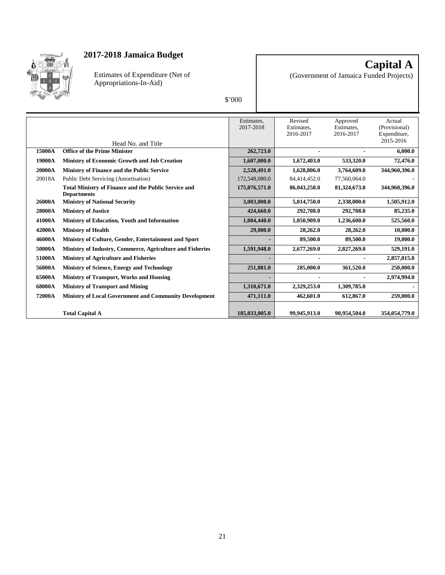

Estimates of Expenditure (Net of Appropriations-In-Aid)

**Capital A** (Government of Jamaica Funded Projects)

|        |                                                                                   | Estimates,    | Revised                 | Approved                | Actual                    |
|--------|-----------------------------------------------------------------------------------|---------------|-------------------------|-------------------------|---------------------------|
|        |                                                                                   | 2017-2018     | Estimates,<br>2016-2017 | Estimates.<br>2016-2017 | (Provisional)             |
|        |                                                                                   |               |                         |                         | Expenditure,<br>2015-2016 |
|        | Head No. and Title                                                                |               |                         |                         |                           |
| 15000A | <b>Office of the Prime Minister</b>                                               | 262,723.0     |                         |                         | 6,000.0                   |
| 19000A | <b>Ministry of Economic Growth and Job Creation</b>                               | 1,607,000.0   | 1,672,403.0             | 533,320.0               | 72,476.0                  |
| 20000A | <b>Ministry of Finance and the Public Service</b>                                 | 2,528,491.0   | 1,628,806.0             | 3,764,609.0             | 344,960,396.0             |
| 20018A | Public Debt Servicing (Amortisation)                                              | 172,548,080.0 | 84,414,452.0            | 77,560,064.0            |                           |
|        | <b>Total Ministry of Finance and the Public Service and</b><br><b>Departments</b> | 175,076,571.0 | 86,043,258.0            | 81,324,673.0            | 344,960,396.0             |
| 26000A | <b>Ministry of National Security</b>                                              | 3,003,000.0   | 5,014,750.0             | 2,338,000.0             | 1,505,912.0               |
| 28000A | <b>Ministry of Justice</b>                                                        | 424,660.0     | 292,708.0               | 292,708.0               | 85,235.0                  |
| 41000A | Ministry of Education, Youth and Information                                      | 1,004,440.0   | 1,050,909.0             | 1,236,600.0             | 525,560.0                 |
| 42000A | <b>Ministry of Health</b>                                                         | 29,000.0      | 28,262.0                | 28,262.0                | 10,000.0                  |
| 46000A | Ministry of Culture, Gender, Entertainment and Sport                              |               | 89,500.0                | 89,500.0                | 19,000.0                  |
| 50000A | Ministry of Industry, Commerce, Agriculture and Fisheries                         | 1,591,948.0   | 2,677,269.0             | 2,827,269.0             | 529,191.0                 |
| 51000A | <b>Ministry of Agriculture and Fisheries</b>                                      |               |                         |                         | 2,857,015.0               |
| 56000A | <b>Ministry of Science, Energy and Technology</b>                                 | 251,881.0     | 285,000.0               | 361,520.0               | 250,000.0                 |
| 65000A | <b>Ministry of Transport, Works and Housing</b>                                   |               |                         |                         | 2,974,994.0               |
| 68000A | <b>Ministry of Transport and Mining</b>                                           | 1,310,671.0   | 2,329,253.0             | 1,309,785.0             |                           |
| 72000A | <b>Ministry of Local Government and Community Development</b>                     | 471,111.0     | 462,601.0               | 612,867.0               | 259,000.0                 |
|        |                                                                                   |               |                         |                         |                           |
|        | <b>Total Capital A</b>                                                            | 185,033,005.0 | 99.945.913.0            | 90.954.504.0            | 354,054,779.0             |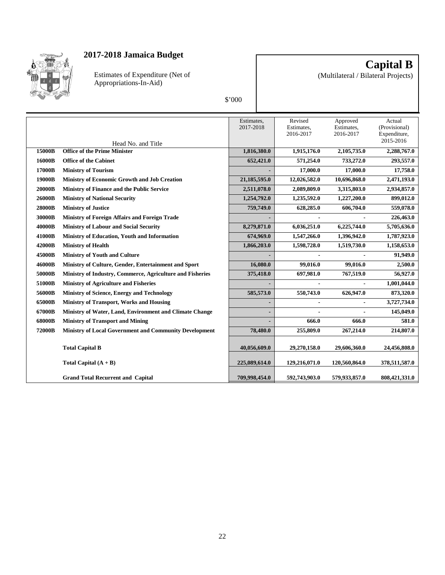

Estimates of Expenditure (Net of Appropriations-In-Aid)

**Capital B**

(Multilateral / Bilateral Projects)

| ı<br>ı |  |
|--------|--|
|        |  |

|        |                                                           | Estimates,<br>2017-2018 | Revised<br>Estimates,<br>2016-2017 | Approved<br>Estimates,<br>2016-2017 | Actual<br>(Provisional)<br>Expenditure,<br>2015-2016 |
|--------|-----------------------------------------------------------|-------------------------|------------------------------------|-------------------------------------|------------------------------------------------------|
| 15000B | Head No. and Title<br><b>Office of the Prime Minister</b> |                         |                                    |                                     |                                                      |
|        |                                                           | 1,816,380.0             | 1,915,176.0                        | 2,105,735.0                         | 2,288,767.0                                          |
| 16000B | <b>Office of the Cabinet</b>                              | 652,421.0               | 571,254.0                          | 733,272.0                           | 293,557.0                                            |
| 17000B | <b>Ministry of Tourism</b>                                |                         | 17,000.0                           | 17,000.0                            | 17,758.0                                             |
| 19000B | <b>Ministry of Economic Growth and Job Creation</b>       | 21,185,595.0            | 12,026,582.0                       | 10,696,868.0                        | 2,471,193.0                                          |
| 20000B | Ministry of Finance and the Public Service                | 2,511,078.0             | 2,089,809.0                        | 3,315,803.0                         | 2,934,857.0                                          |
| 26000B | <b>Ministry of National Security</b>                      | 1,254,792.0             | 1,235,592.0                        | 1,227,200.0                         | 899,012.0                                            |
| 28000B | <b>Ministry of Justice</b>                                | 759,749.0               | 628,285.0                          | 606,704.0                           | 559,078.0                                            |
| 30000B | Ministry of Foreign Affairs and Foreign Trade             |                         |                                    |                                     | 226,463.0                                            |
| 40000B | <b>Ministry of Labour and Social Security</b>             | 8,279,871.0             | 6,036,251.0                        | 6,225,744.0                         | 5,705,636.0                                          |
| 41000B | Ministry of Education, Youth and Information              | 674,969.0               | 1,547,266.0                        | 1,396,942.0                         | 1,787,923.0                                          |
| 42000B | <b>Ministry of Health</b>                                 | 1,866,203.0             | 1,598,728.0                        | 1,519,730.0                         | 1,158,653.0                                          |
| 45000B | <b>Ministry of Youth and Culture</b>                      |                         |                                    |                                     | 91,949.0                                             |
| 46000B | Ministry of Culture, Gender, Entertainment and Sport      | 16,080.0                | 99,016.0                           | 99,016.0                            | 2,500.0                                              |
| 50000B | Ministry of Industry, Commerce, Agriculture and Fisheries | 375,418.0               | 697,981.0                          | 767,519.0                           | 56,927.0                                             |
| 51000B | <b>Ministry of Agriculture and Fisheries</b>              |                         |                                    |                                     | 1,001,044.0                                          |
| 56000B | Ministry of Science, Energy and Technology                | 585,573.0               | 550,743.0                          | 626,947.0                           | 873,320.0                                            |
| 65000B | <b>Ministry of Transport, Works and Housing</b>           |                         |                                    |                                     | 3,727,734.0                                          |
| 67000B | Ministry of Water, Land, Environment and Climate Change   |                         |                                    |                                     | 145,049.0                                            |
| 68000B | <b>Ministry of Transport and Mining</b>                   |                         | 666.0                              | 666.0                               | 581.0                                                |
| 72000B | Ministry of Local Government and Community Development    | 78,480.0                | 255,809.0                          | 267,214.0                           | 214,807.0                                            |
|        | <b>Total Capital B</b>                                    | 40,056,609.0            | 29,270,158.0                       | 29,606,360.0                        | 24,456,808.0                                         |
|        | Total Capital $(A + B)$                                   | 225,089,614.0           | 129,216,071.0                      | 120,560,864.0                       | 378,511,587.0                                        |
|        | <b>Grand Total Recurrent and Capital</b>                  | 709,998,454.0           | 592,743,903.0                      | 579,933,857.0                       | 808,421,331.0                                        |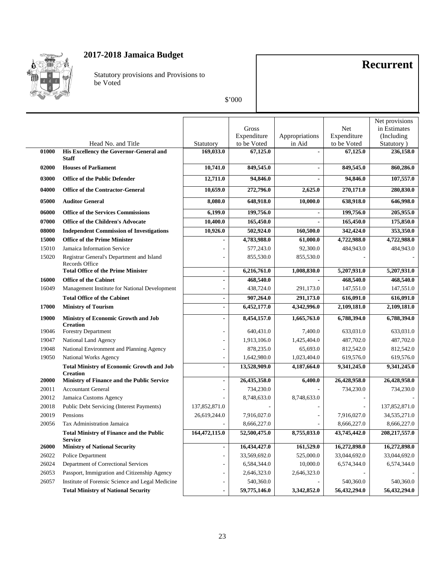

Statutory provisions and Provisions to be Voted

## **Recurrent**

|       |                                                                     |                          |              |                |              | Net provisions |
|-------|---------------------------------------------------------------------|--------------------------|--------------|----------------|--------------|----------------|
|       |                                                                     |                          | Gross        |                | Net          | in Estimates   |
|       |                                                                     |                          | Expenditure  | Appropriations | Expenditure  | (Including     |
|       | Head No. and Title                                                  | Statutory                | to be Voted  | in Aid         | to be Voted  | Statutory)     |
| 01000 | His Excellency the Governor-General and<br><b>Staff</b>             | 169,033.0                | 67,125.0     |                | 67,125.0     | 236,158.0      |
| 02000 | <b>Houses of Parliament</b>                                         | 10,741.0                 | 849,545.0    | $\overline{a}$ | 849,545.0    | 860,286.0      |
| 03000 | <b>Office of the Public Defender</b>                                | 12,711.0                 | 94,846.0     | $\overline{a}$ | 94,846.0     | 107,557.0      |
| 04000 | <b>Office of the Contractor-General</b>                             | 10,659.0                 | 272,796.0    | 2,625.0        | 270,171.0    | 280,830.0      |
| 05000 | <b>Auditor General</b>                                              | 8,080.0                  | 648,918.0    | 10,000.0       | 638,918.0    | 646,998.0      |
| 06000 | <b>Office of the Services Commissions</b>                           | 6,199.0                  | 199,756.0    |                | 199,756.0    | 205,955.0      |
| 07000 | <b>Office of the Children's Advocate</b>                            | 10,400.0                 | 165,450.0    |                | 165,450.0    | 175,850.0      |
| 08000 | <b>Independent Commission of Investigations</b>                     | 10,926.0                 | 502,924.0    | 160,500.0      | 342,424.0    | 353,350.0      |
| 15000 | <b>Office of the Prime Minister</b>                                 |                          | 4,783,988.0  | 61,000.0       | 4,722,988.0  | 4,722,988.0    |
| 15010 | Jamaica Information Service                                         |                          | 577,243.0    | 92,300.0       | 484,943.0    | 484,943.0      |
| 15020 | Registrar General's Department and Island<br>Records Office         |                          | 855,530.0    | 855,530.0      |              |                |
|       | <b>Total Office of the Prime Minister</b>                           | $\blacksquare$           | 6,216,761.0  | 1,008,830.0    | 5,207,931.0  | 5,207,931.0    |
| 16000 | <b>Office of the Cabinet</b>                                        | $\overline{a}$           | 468,540.0    |                | 468,540.0    | 468,540.0      |
| 16049 | Management Institute for National Development                       |                          | 438,724.0    | 291,173.0      | 147,551.0    | 147,551.0      |
|       | <b>Total Office of the Cabinet</b>                                  | $\overline{\phantom{a}}$ | 907,264.0    | 291,173.0      | 616,091.0    | 616,091.0      |
| 17000 | <b>Ministry of Tourism</b>                                          | $\overline{a}$           | 6,452,177.0  | 4,342,996.0    | 2,109,181.0  | 2,109,181.0    |
| 19000 | <b>Ministry of Economic Growth and Job</b><br><b>Creation</b>       | $\blacksquare$           | 8,454,157.0  | 1,665,763.0    | 6,788,394.0  | 6,788,394.0    |
| 19046 | <b>Forestry Department</b>                                          |                          | 640,431.0    | 7,400.0        | 633,031.0    | 633,031.0      |
| 19047 | National Land Agency                                                |                          | 1,913,106.0  | 1,425,404.0    | 487,702.0    | 487,702.0      |
| 19048 | National Environment and Planning Agency                            |                          | 878,235.0    | 65,693.0       | 812,542.0    | 812,542.0      |
| 19050 | <b>National Works Agency</b>                                        |                          | 1,642,980.0  | 1,023,404.0    | 619,576.0    | 619,576.0      |
|       | <b>Total Ministry of Economic Growth and Job</b><br><b>Creation</b> | $\overline{a}$           | 13,528,909.0 | 4,187,664.0    | 9,341,245.0  | 9,341,245.0    |
| 20000 | Ministry of Finance and the Public Service                          | $\overline{\phantom{a}}$ | 26,435,358.0 | 6,400.0        | 26,428,958.0 | 26,428,958.0   |
| 20011 | <b>Accountant General</b>                                           |                          | 734,230.0    |                | 734,230.0    | 734,230.0      |
| 20012 | Jamaica Customs Agency                                              |                          | 8,748,633.0  | 8,748,633.0    |              |                |
| 20018 | <b>Public Debt Servicing (Interest Payments)</b>                    | 137,852,871.0            |              |                |              | 137,852,871.0  |
| 20019 | Pensions                                                            | 26,619,244.0             | 7,916,027.0  |                | 7,916,027.0  | 34,535,271.0   |
| 20056 | Tax Administration Jamaica                                          |                          | 8,666,227.0  |                | 8,666,227.0  | 8,666,227.0    |
|       | <b>Total Ministry of Finance and the Public</b><br><b>Service</b>   | 164,472,115.0            | 52,500,475.0 | 8,755,033.0    | 43,745,442.0 | 208,217,557.0  |
| 26000 | <b>Ministry of National Security</b>                                |                          | 16,434,427.0 | 161,529.0      | 16,272,898.0 | 16,272,898.0   |
| 26022 | Police Department                                                   |                          | 33,569,692.0 | 525,000.0      | 33,044,692.0 | 33,044,692.0   |
| 26024 | Department of Correctional Services                                 |                          | 6,584,344.0  | 10,000.0       | 6,574,344.0  | 6,574,344.0    |
| 26053 | Passport, Immigration and Citizenship Agency                        |                          | 2,646,323.0  | 2,646,323.0    |              |                |
| 26057 | Institute of Forensic Science and Legal Medicine                    |                          | 540,360.0    |                | 540,360.0    | 540,360.0      |
|       | <b>Total Ministry of National Security</b>                          | $\overline{a}$           | 59,775,146.0 | 3,342,852.0    | 56,432,294.0 | 56,432,294.0   |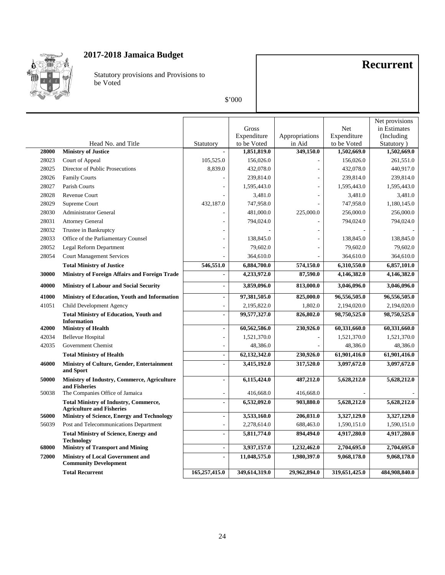

Statutory provisions and Provisions to be Voted

## **Recurrent**

|       |                                                                                       |                              |               |                |               | Net provisions |
|-------|---------------------------------------------------------------------------------------|------------------------------|---------------|----------------|---------------|----------------|
|       |                                                                                       |                              | Gross         |                | Net           | in Estimates   |
|       |                                                                                       |                              | Expenditure   | Appropriations | Expenditure   | (Including     |
|       | Head No. and Title                                                                    | Statutory                    | to be Voted   | in Aid         | to be Voted   | Statutory)     |
| 28000 | <b>Ministry of Justice</b>                                                            |                              | 1,851,819.0   | 349,150.0      | 1,502,669.0   | 1,502,669.0    |
| 28023 | Court of Appeal                                                                       | 105,525.0                    | 156,026.0     |                | 156,026.0     | 261,551.0      |
| 28025 | Director of Public Prosecutions                                                       | 8,839.0                      | 432,078.0     |                | 432,078.0     | 440,917.0      |
| 28026 | <b>Family Courts</b>                                                                  |                              | 239,814.0     |                | 239,814.0     | 239,814.0      |
| 28027 | Parish Courts                                                                         |                              | 1,595,443.0   | ٠              | 1,595,443.0   | 1,595,443.0    |
| 28028 | Revenue Court                                                                         |                              | 3,481.0       |                | 3,481.0       | 3,481.0        |
| 28029 | Supreme Court                                                                         | 432,187.0                    | 747,958.0     |                | 747,958.0     | 1,180,145.0    |
| 28030 | <b>Administrator General</b>                                                          |                              | 481,000.0     | 225,000.0      | 256,000.0     | 256,000.0      |
| 28031 | <b>Attorney General</b>                                                               |                              | 794,024.0     |                | 794,024.0     | 794,024.0      |
| 28032 | Trustee in Bankruptcy                                                                 |                              |               |                |               |                |
| 28033 | Office of the Parliamentary Counsel                                                   |                              | 138,845.0     |                | 138,845.0     | 138,845.0      |
| 28052 | Legal Reform Department                                                               |                              | 79,602.0      |                | 79,602.0      | 79,602.0       |
| 28054 | <b>Court Management Services</b>                                                      |                              | 364,610.0     |                | 364,610.0     | 364,610.0      |
|       | <b>Total Ministry of Justice</b>                                                      | 546,551.0                    | 6,884,700.0   | 574,150.0      | 6,310,550.0   | 6,857,101.0    |
| 30000 | Ministry of Foreign Affairs and Foreign Trade                                         |                              | 4,233,972.0   | 87,590.0       | 4,146,382.0   | 4,146,382.0    |
| 40000 | <b>Ministry of Labour and Social Security</b>                                         |                              | 3,859,096.0   | 813,000.0      | 3,046,096.0   | 3,046,096.0    |
| 41000 | Ministry of Education, Youth and Information                                          | $\blacksquare$               | 97,381,505.0  | 825,000.0      | 96,556,505.0  | 96,556,505.0   |
| 41051 | Child Development Agency                                                              |                              | 2,195,822.0   | 1,802.0        | 2,194,020.0   | 2,194,020.0    |
|       | <b>Total Ministry of Education, Youth and</b>                                         | ÷                            | 99,577,327.0  | 826,802.0      | 98,750,525.0  | 98,750,525.0   |
| 42000 | <b>Information</b><br><b>Ministry of Health</b>                                       | ÷                            | 60,562,586.0  | 230,926.0      | 60,331,660.0  | 60,331,660.0   |
| 42034 | <b>Bellevue Hospital</b>                                                              |                              | 1,521,370.0   |                | 1,521,370.0   | 1,521,370.0    |
| 42035 | Government Chemist                                                                    |                              | 48,386.0      |                | 48,386.0      | 48,386.0       |
|       | <b>Total Ministry of Health</b>                                                       | $\overline{a}$               | 62,132,342.0  | 230,926.0      | 61,901,416.0  | 61,901,416.0   |
| 46000 | Ministry of Culture, Gender, Entertainment                                            |                              | 3,415,192.0   | 317,520.0      | 3,097,672.0   | 3,097,672.0    |
|       | and Sport                                                                             |                              |               |                |               |                |
| 50000 | Ministry of Industry, Commerce, Agriculture<br>and Fisheries                          | $\blacksquare$               | 6,115,424.0   | 487,212.0      | 5,628,212.0   | 5,628,212.0    |
| 50038 | The Companies Office of Jamaica                                                       | ÷,                           | 416,668.0     | 416,668.0      |               |                |
|       | <b>Total Ministry of Industry, Commerce,</b>                                          |                              | 6,532,092.0   | 903,880.0      | 5,628,212.0   | 5,628,212.0    |
| 56000 | <b>Agriculture and Fisheries</b><br><b>Ministry of Science, Energy and Technology</b> | $\blacksquare$               | 3,533,160.0   | 206,031.0      | 3,327,129.0   | 3,327,129.0    |
| 56039 | Post and Telecommunications Department                                                |                              | 2,278,614.0   | 688,463.0      | 1,590,151.0   | 1,590,151.0    |
|       | <b>Total Ministry of Science, Energy and</b>                                          |                              | 5,811,774.0   | 894,494.0      | 4,917,280.0   | 4,917,280.0    |
| 68000 | <b>Technology</b>                                                                     |                              | 3,937,157.0   | 1,232,462.0    | 2,704,695.0   | 2,704,695.0    |
|       | <b>Ministry of Transport and Mining</b>                                               | $\qquad \qquad \blacksquare$ |               |                |               |                |
| 72000 | <b>Ministry of Local Government and</b><br><b>Community Development</b>               |                              | 11,048,575.0  | 1,980,397.0    | 9,068,178.0   | 9,068,178.0    |
|       | <b>Total Recurrent</b>                                                                | 165,257,415.0                | 349,614,319.0 | 29,962,894.0   | 319,651,425.0 | 484,908,840.0  |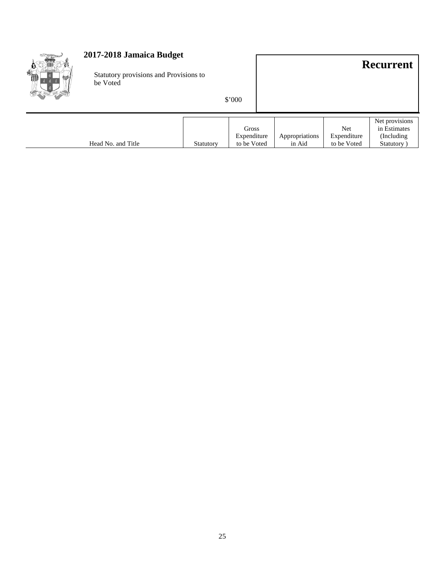| 2017-2018 Jamaica Budget<br>Statutory provisions and Provisions to<br>be Voted |           | \$'000                              |                          |                                   | <b>Recurrent</b>                                           |
|--------------------------------------------------------------------------------|-----------|-------------------------------------|--------------------------|-----------------------------------|------------------------------------------------------------|
| Head No. and Title                                                             | Statutory | Gross<br>Expenditure<br>to be Voted | Appropriations<br>in Aid | Net<br>Expenditure<br>to be Voted | Net provisions<br>in Estimates<br>(Including)<br>Statutory |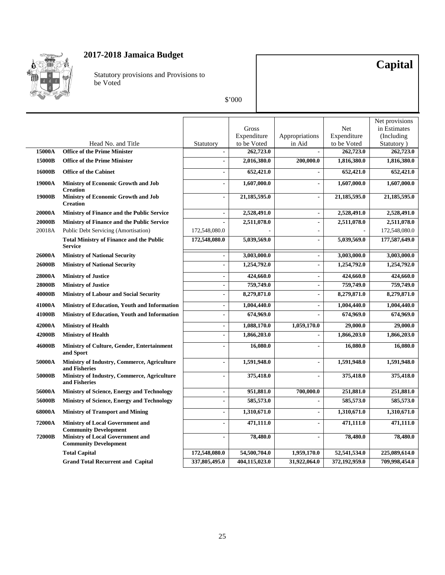

Statutory provisions and Provisions to be Voted

## **Capital**

|               |                                                                         |                          |               |                          |               | Net provisions |
|---------------|-------------------------------------------------------------------------|--------------------------|---------------|--------------------------|---------------|----------------|
|               |                                                                         |                          | Gross         |                          | Net           | in Estimates   |
|               |                                                                         |                          | Expenditure   | Appropriations           | Expenditure   | (Including)    |
|               | Head No. and Title                                                      | Statutory                | to be Voted   | in Aid                   | to be Voted   | Statutory)     |
| 15000A        | <b>Office of the Prime Minister</b>                                     | $\blacksquare$           | 262,723.0     |                          | 262,723.0     | 262,723.0      |
| 15000B        | <b>Office of the Prime Minister</b>                                     |                          | 2,016,380.0   | 200,000.0                | 1,816,380.0   | 1,816,380.0    |
| 16000B        | <b>Office of the Cabinet</b>                                            |                          | 652,421.0     |                          | 652,421.0     | 652,421.0      |
| 19000A        | <b>Ministry of Economic Growth and Job</b><br><b>Creation</b>           | $\overline{a}$           | 1,607,000.0   | $\overline{\phantom{a}}$ | 1,607,000.0   | 1,607,000.0    |
| 19000B        | Ministry of Economic Growth and Job<br><b>Creation</b>                  | $\overline{\phantom{a}}$ | 21,185,595.0  | $\blacksquare$           | 21,185,595.0  | 21,185,595.0   |
| 20000A        | <b>Ministry of Finance and the Public Service</b>                       | $\blacksquare$           | 2,528,491.0   | $\overline{\phantom{a}}$ | 2,528,491.0   | 2,528,491.0    |
| 20000B        | <b>Ministry of Finance and the Public Service</b>                       |                          | 2,511,078.0   | ÷,                       | 2,511,078.0   | 2,511,078.0    |
| 20018A        | <b>Public Debt Servicing (Amortisation)</b>                             | 172,548,080.0            |               |                          |               | 172,548,080.0  |
|               | <b>Total Ministry of Finance and the Public</b><br><b>Service</b>       | 172,548,080.0            | 5,039,569.0   | $\blacksquare$           | 5,039,569.0   | 177,587,649.0  |
| 26000A        | <b>Ministry of National Security</b>                                    |                          | 3,003,000.0   | $\overline{a}$           | 3,003,000.0   | 3,003,000.0    |
| 26000B        | <b>Ministry of National Security</b>                                    | $\overline{a}$           | 1,254,792.0   | $\blacksquare$           | 1,254,792.0   | 1,254,792.0    |
| 28000A        | <b>Ministry of Justice</b>                                              | $\blacksquare$           | 424,660.0     | $\blacksquare$           | 424,660.0     | 424,660.0      |
| 28000B        | <b>Ministry of Justice</b>                                              | $\blacksquare$           | 759,749.0     | ÷,                       | 759,749.0     | 759,749.0      |
| 40000B        | <b>Ministry of Labour and Social Security</b>                           |                          | 8,279,871.0   | $\overline{a}$           | 8,279,871.0   | 8,279,871.0    |
| 41000A        | Ministry of Education, Youth and Information                            | $\blacksquare$           | 1,004,440.0   | $\blacksquare$           | 1,004,440.0   | 1,004,440.0    |
| 41000B        | Ministry of Education, Youth and Information                            | $\overline{\phantom{a}}$ | 674,969.0     | ÷,                       | 674,969.0     | 674,969.0      |
| 42000A        | <b>Ministry of Health</b>                                               | $\blacksquare$           | 1,088,170.0   | 1,059,170.0              | 29,000.0      | 29,000.0       |
| 42000B        | <b>Ministry of Health</b>                                               | $\blacksquare$           | 1,866,203.0   |                          | 1,866,203.0   | 1,866,203.0    |
| 46000B        | Ministry of Culture, Gender, Entertainment<br>and Sport                 |                          | 16,080.0      | $\overline{a}$           | 16,080.0      | 16,080.0       |
| 50000A        | Ministry of Industry, Commerce, Agriculture<br>and Fisheries            | $\blacksquare$           | 1,591,948.0   | $\overline{a}$           | 1,591,948.0   | 1,591,948.0    |
| 50000B        | Ministry of Industry, Commerce, Agriculture<br>and Fisheries            | $\blacksquare$           | 375,418.0     | $\overline{a}$           | 375,418.0     | 375,418.0      |
| 56000A        | <b>Ministry of Science, Energy and Technology</b>                       | $\blacksquare$           | 951,881.0     | 700,000.0                | 251,881.0     | 251,881.0      |
| 56000B        | Ministry of Science, Energy and Technology                              | $\blacksquare$           | 585,573.0     |                          | 585,573.0     | 585,573.0      |
| 68000A        | <b>Ministry of Transport and Mining</b>                                 | $\blacksquare$           | 1,310,671.0   | $\blacksquare$           | 1,310,671.0   | 1,310,671.0    |
| 72000A        | <b>Ministry of Local Government and</b><br><b>Community Development</b> |                          | 471,111.0     | ÷,                       | 471,111.0     | 471,111.0      |
| <b>72000B</b> | <b>Ministry of Local Government and</b><br><b>Community Development</b> | $\overline{a}$           | 78,480.0      | $\overline{a}$           | 78,480.0      | 78,480.0       |
|               | <b>Total Capital</b>                                                    | 172,548,080.0            | 54,500,704.0  | 1,959,170.0              | 52,541,534.0  | 225,089,614.0  |
|               | <b>Grand Total Recurrent and Capital</b>                                | 337,805,495.0            | 404,115,023.0 | 31,922,064.0             | 372,192,959.0 | 709,998,454.0  |